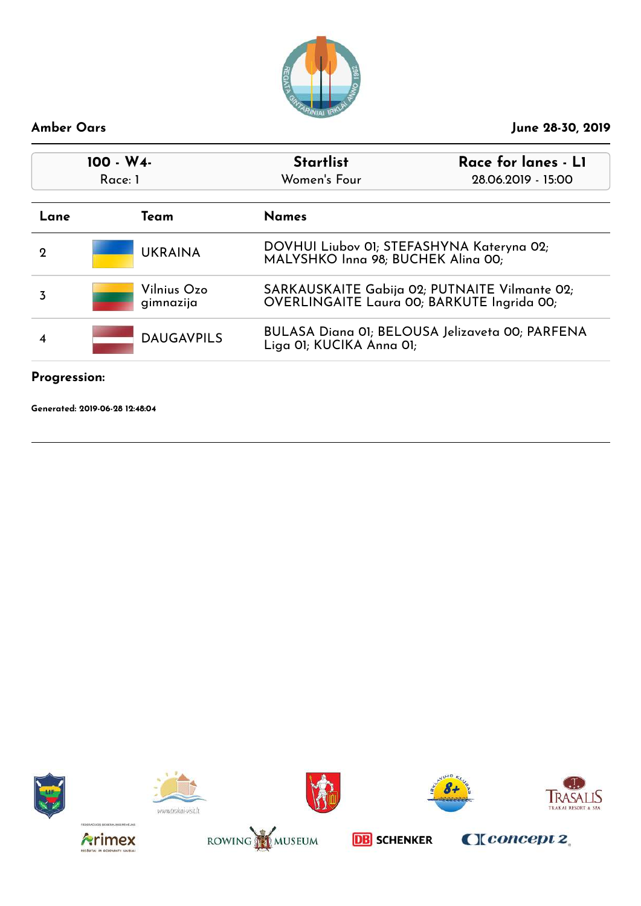

| $100 - W4$<br>Race: 1 |                          | <b>Startlist</b><br>Race for lanes - L1<br>Women's Four<br>28.06.2019 - 15:00               |  |
|-----------------------|--------------------------|---------------------------------------------------------------------------------------------|--|
| Lane                  | Team                     | <b>Names</b>                                                                                |  |
| 2                     | <b>UKRAINA</b>           | DOVHUI Liubov 01; STEFASHYNA Kateryna 02;<br>MALYSHKO Inna 98; BUCHEK Alina 00;             |  |
| 3                     | Vilnius Ozo<br>gimnazija | SARKAUSKAITE Gabija 02; PUTNAITE Vilmante 02;<br>OVERLINGAITE Laura 00; BARKUTE Ingrida 00; |  |
|                       | <b>DAUGAVPILS</b>        | <b>BULASA Diana 01; BELOUSA Jelizaveta 00; PARFENA</b><br>Liga 01; KUCIKA Anna 01;          |  |

### **Progression:**

**Generated: 2019-06-28 12:48:04**















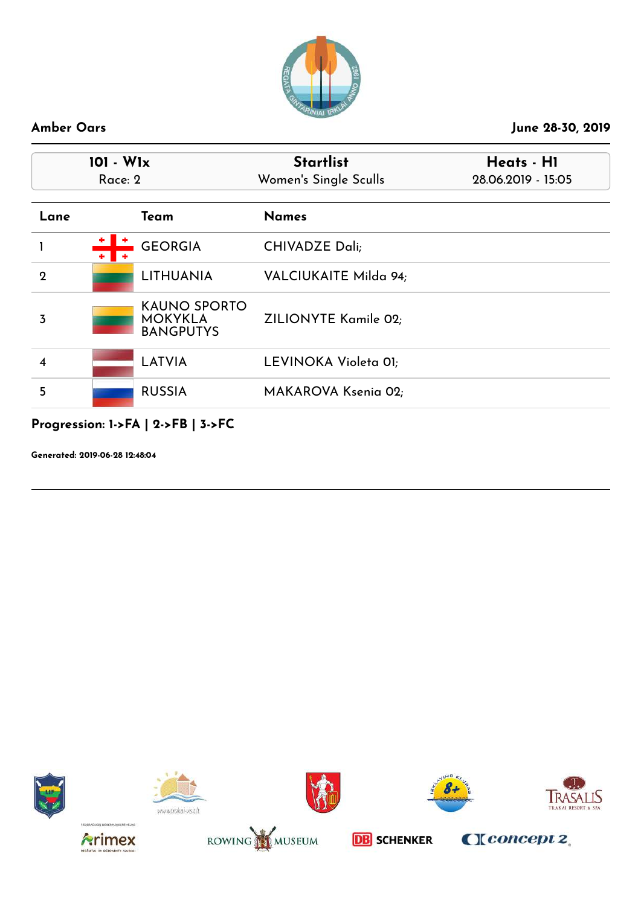

|                         | $101 - W1x$<br>Race: 2 |                                                           | <b>Startlist</b><br>Women's Single Sculls | Heats - H1<br>28.06.2019 - 15:05 |
|-------------------------|------------------------|-----------------------------------------------------------|-------------------------------------------|----------------------------------|
| Lane                    |                        | Team                                                      | <b>Names</b>                              |                                  |
|                         | $+$ $+$                | <b>GEORGIA</b>                                            | <b>CHIVADZE Dali;</b>                     |                                  |
| $\mathbf{2}$            |                        | <b>LITHUANIA</b>                                          | VALCIUKAITE Milda 94;                     |                                  |
| 3                       |                        | <b>KAUNO SPORTO</b><br><b>MOKYKLA</b><br><b>BANGPUTYS</b> | ZILIONYTE Kamile 02;                      |                                  |
| $\overline{\mathbf{4}}$ |                        | <b>LATVIA</b>                                             | LEVINOKA Violeta 01;                      |                                  |
| 5                       |                        | <b>RUSSIA</b>                                             | MAKAROVA Ksenia 02;                       |                                  |

# **Progression: 1->FA | 2->FB | 3->FC**

**Generated: 2019-06-28 12:48:04**















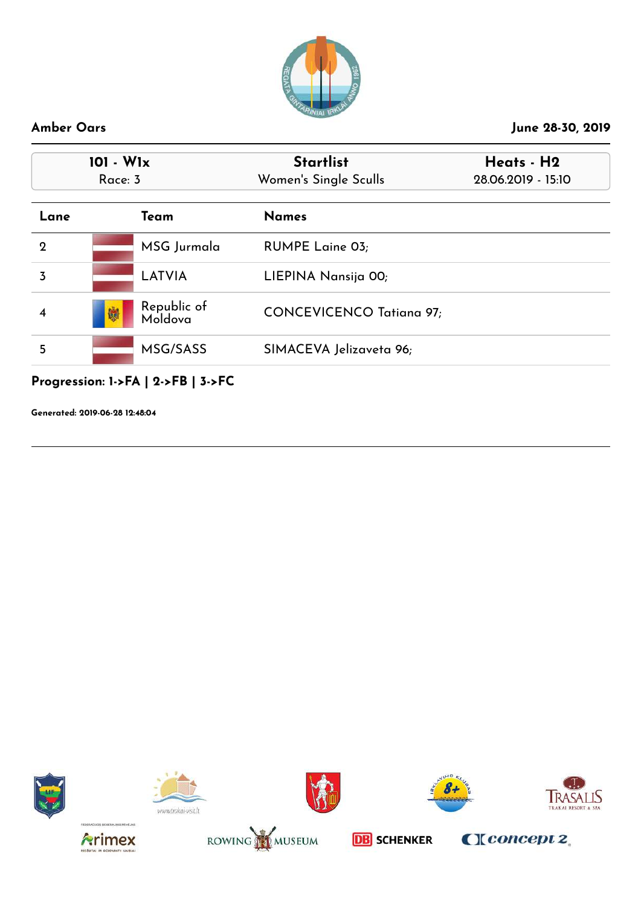

| 101 - W1x<br>Race: 3 |                             | <b>Startlist</b><br>Women's Single Sculls | Heats - H2<br>28.06.2019 - 15:10 |
|----------------------|-----------------------------|-------------------------------------------|----------------------------------|
| Lane                 | Team                        | <b>Names</b>                              |                                  |
| $\overline{2}$       | MSG Jurmala                 | <b>RUMPE Laine 03;</b>                    |                                  |
| 3                    | LATVIA                      | LIEPINA Nansija 00;                       |                                  |
|                      | Republic of<br>Moldova<br>喇 | <b>CONCEVICENCO Tatiana 97;</b>           |                                  |
| 5                    | MSG/SASS                    | SIMACEVA Jelizaveta 96;                   |                                  |

**Progression: 1->FA | 2->FB | 3->FC**

**Generated: 2019-06-28 12:48:04**















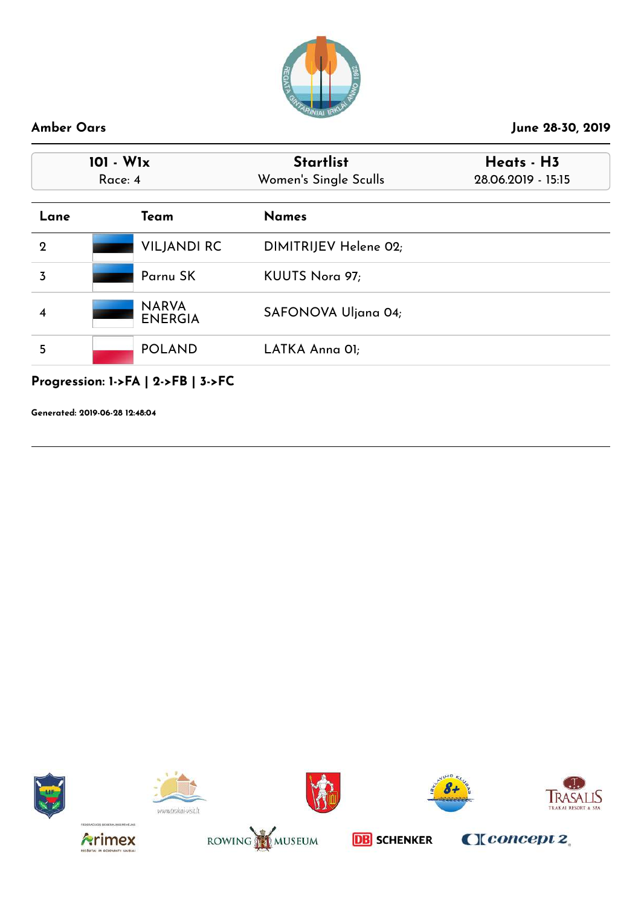

| 101 - W1x<br>Race: 4 |                                             | <b>Startlist</b><br>Women's Single Sculls | Heats - H3<br>28.06.2019 - 15:15 |  |
|----------------------|---------------------------------------------|-------------------------------------------|----------------------------------|--|
| Lane                 | Team                                        | <b>Names</b>                              |                                  |  |
| $\mathbf{2}$         | <b>VILJANDI RC</b>                          | DIMITRIJEV Helene 02;                     |                                  |  |
| $\overline{3}$       | Parnu SK                                    | KUUTS Nora 97;                            |                                  |  |
| 4                    | <b>NARVA</b><br><b>ENERGIA</b>              | SAFONOVA Uljana 04;                       |                                  |  |
| 5                    | <b>POLAND</b>                               | LATKA Anna OI;                            |                                  |  |
|                      | Progression: $1$ ->FA   $2$ ->FB   $3$ ->FC |                                           |                                  |  |

**Generated: 2019-06-28 12:48:04**















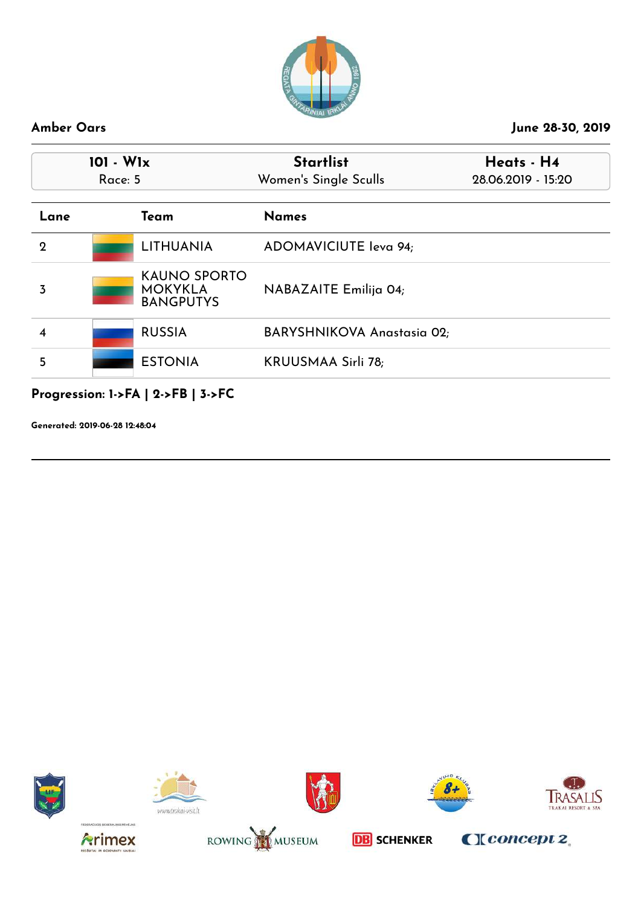

|             | $101 - W1x$<br>Race: 5 |                                                           | <b>Startlist</b><br>Women's Single Sculls | Heats - H4<br>28.06.2019 - 15:20 |  |
|-------------|------------------------|-----------------------------------------------------------|-------------------------------------------|----------------------------------|--|
| Lane        |                        | Team                                                      | <b>Names</b>                              |                                  |  |
| $\mathbf 2$ |                        | <b>LITHUANIA</b>                                          | ADOMAVICIUTE leva 94;                     |                                  |  |
| 3           |                        | <b>KAUNO SPORTO</b><br><b>MOKYKLA</b><br><b>BANGPUTYS</b> | NABAZAITE Emilija 04;                     |                                  |  |
| 4           |                        | <b>RUSSIA</b>                                             | <b>BARYSHNIKOVA Anastasia 02;</b>         |                                  |  |
| 5           |                        | <b>ESTONIA</b>                                            | <b>KRUUSMAA Sirli 78;</b>                 |                                  |  |

**Progression: 1->FA | 2->FB | 3->FC**

**Generated: 2019-06-28 12:48:04**















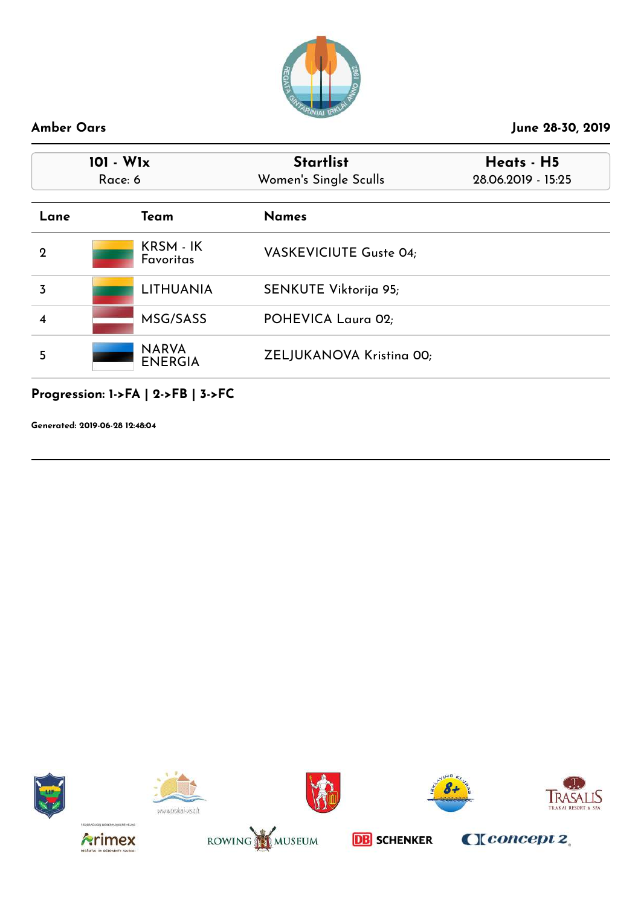

| 101 - W1x<br>Race: 6 |                                | <b>Startlist</b><br>Women's Single Sculls | Heats - H5<br>28.06.2019 - 15:25 |
|----------------------|--------------------------------|-------------------------------------------|----------------------------------|
| Lane                 | Team                           | <b>Names</b>                              |                                  |
| 2                    | KRSM - IK<br><b>Favoritas</b>  | <b>VASKEVICIUTE Guste 04;</b>             |                                  |
| 3                    | <b>LITHUANIA</b>               | SENKUTE Viktorija 95;                     |                                  |
|                      | MSG/SASS                       | POHEVICA Laura 02;                        |                                  |
| 5                    | <b>NARVA</b><br><b>ENERGIA</b> | ZELJUKANOVA Kristina 00;                  |                                  |

## **Progression: 1->FA | 2->FB | 3->FC**

**Generated: 2019-06-28 12:48:04**















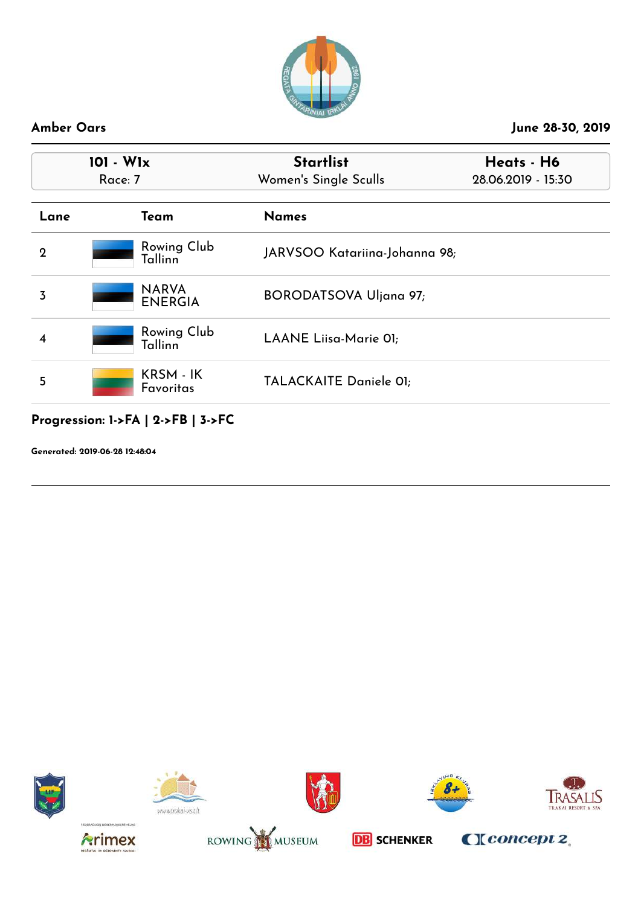

| $101 - W1x$<br>Race: 7 |                                      | <b>Startlist</b><br>Women's Single Sculls | Heats - H6<br>28.06.2019 - 15:30 |  |
|------------------------|--------------------------------------|-------------------------------------------|----------------------------------|--|
| Lane                   | Team                                 | <b>Names</b>                              |                                  |  |
| $\mathbf 2$            | <b>Rowing Club</b><br><b>Tallinn</b> | JARVSOO Katariina-Johanna 98;             |                                  |  |
| 3                      | <b>NARVA</b><br><b>ENERGIA</b>       | <b>BORODATSOVA Uljana 97;</b>             |                                  |  |
|                        | <b>Rowing Club</b><br>Tallinn        | LAANE Liisa-Marie 01;                     |                                  |  |
| 5                      | KRSM - IK<br><b>Favoritas</b>        | TALACKAITE Daniele 01;                    |                                  |  |

**Progression: 1->FA | 2->FB | 3->FC**

**Generated: 2019-06-28 12:48:04**















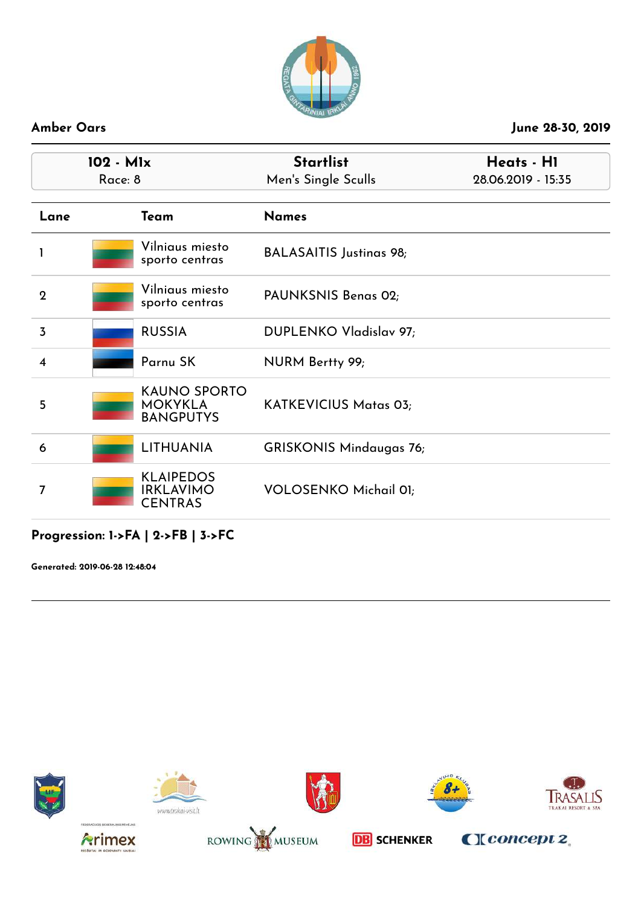

|                         | 102 - Mlx<br>Race: 8 |                                                           | <b>Startlist</b><br>Men's Single Sculls | Heats - H1<br>28.06.2019 - 15:35 |
|-------------------------|----------------------|-----------------------------------------------------------|-----------------------------------------|----------------------------------|
| Lane                    |                      | Team                                                      | <b>Names</b>                            |                                  |
|                         |                      | Vilniaus miesto<br>sporto centras                         | <b>BALASAITIS Justinas 98;</b>          |                                  |
| $\mathbf 2$             |                      | Vilniaus miesto<br>sporto centras                         | PAUNKSNIS Benas 02;                     |                                  |
| $\overline{3}$          |                      | <b>RUSSIA</b>                                             | DUPLENKO Vladislav 97;                  |                                  |
| $\overline{\mathbf{4}}$ |                      | Parnu SK                                                  | NURM Bertty 99;                         |                                  |
| 5                       |                      | <b>KAUNO SPORTO</b><br><b>MOKYKLA</b><br><b>BANGPUTYS</b> | KATKEVICIUS Matas 03;                   |                                  |
| 6                       |                      | <b>LITHUANIA</b>                                          | <b>GRISKONIS Mindaugas 76;</b>          |                                  |
| 7                       |                      | <b>KLAIPEDOS</b><br><b>IRKLAVIMO</b><br><b>CENTRAS</b>    | <b>VOLOSENKO Michail 01;</b>            |                                  |

### **Progression: 1->FA | 2->FB | 3->FC**

**Generated: 2019-06-28 12:48:04**















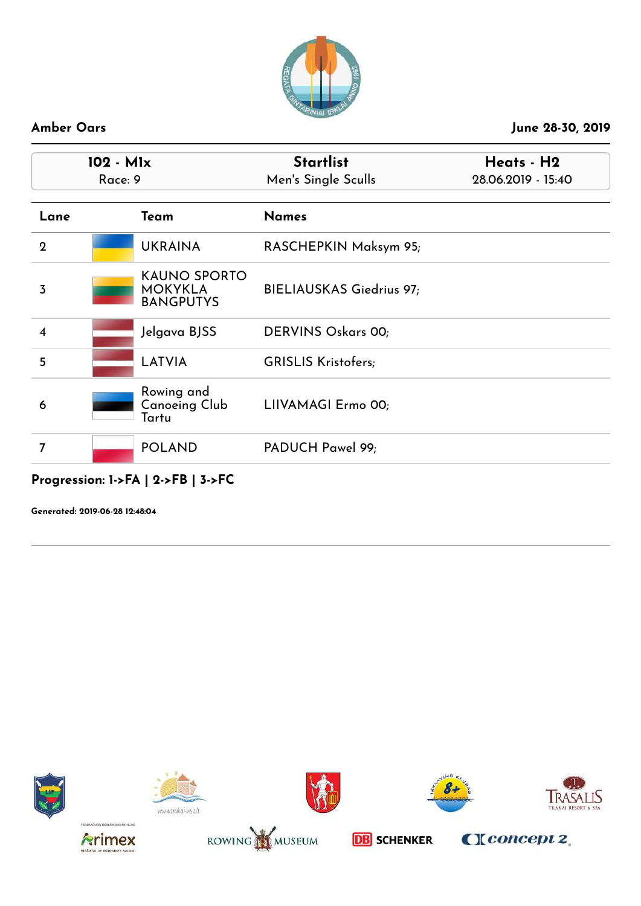

|                         | 102 - Mlx<br>Race: 9 |                                                           | <b>Startlist</b><br>Men's Single Sculls | Heats - H2<br>28.06.2019 - 15:40 |  |
|-------------------------|----------------------|-----------------------------------------------------------|-----------------------------------------|----------------------------------|--|
| Lane                    |                      | Team                                                      | <b>Names</b>                            |                                  |  |
| $\overline{2}$          |                      | <b>UKRAINA</b>                                            | RASCHEPKIN Maksym 95;                   |                                  |  |
| 3                       |                      | <b>KAUNO SPORTO</b><br><b>MOKYKLA</b><br><b>BANGPUTYS</b> | BIELIAUSKAS Giedrius 97;                |                                  |  |
| $\overline{\mathbf{4}}$ |                      | Jelgava BJSS                                              | <b>DERVINS Oskars 00;</b>               |                                  |  |
| 5                       |                      | <b>LATVIA</b>                                             | <b>GRISLIS Kristofers;</b>              |                                  |  |
| 6                       |                      | Rowing and<br><b>Canoeing Club</b><br>Tartu               | LIIVAMAGI Ermo 00;                      |                                  |  |
| 7                       |                      | <b>POLAND</b>                                             | PADUCH Pawel 99;                        |                                  |  |

# **Progression: 1->FA | 2->FB | 3->FC**

**Generated: 2019-06-28 12:48:04**















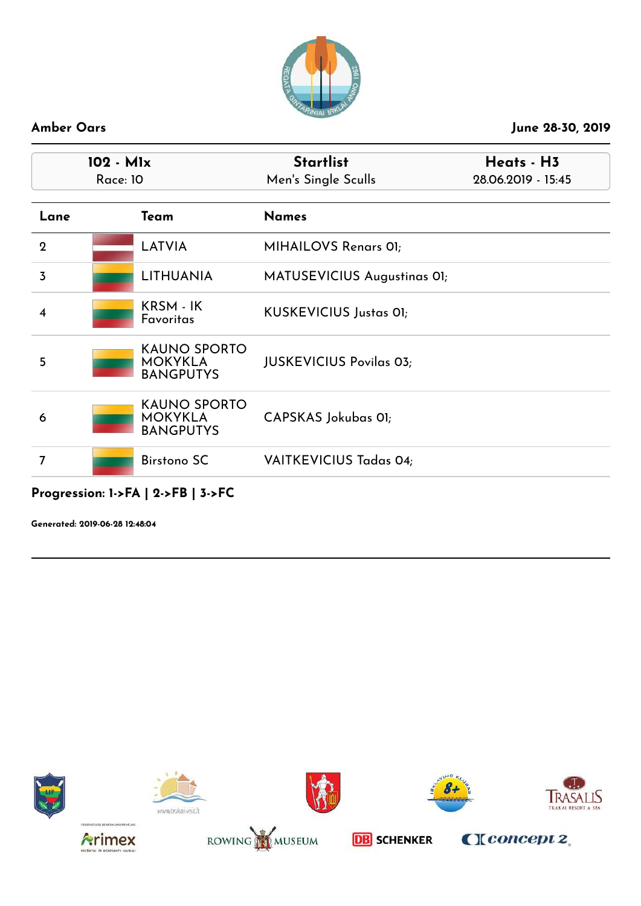

| 102 - Mlx<br><b>Race: 10</b> |                                                           | <b>Startlist</b><br>Men's Single Sculls | Heats - H3<br>28.06.2019 - 15:45 |
|------------------------------|-----------------------------------------------------------|-----------------------------------------|----------------------------------|
| Lane                         | Team                                                      | <b>Names</b>                            |                                  |
| $\overline{2}$               | <b>LATVIA</b>                                             | MIHAILOVS Renars 01;                    |                                  |
| $\overline{3}$               | <b>LITHUANIA</b>                                          | MATUSEVICIUS Augustinas OI;             |                                  |
| $\boldsymbol{4}$             | KRSM - IK<br>Favoritas                                    | <b>KUSKEVICIUS Justas 01;</b>           |                                  |
| 5                            | <b>KAUNO SPORTO</b><br><b>MOKYKLA</b><br><b>BANGPUTYS</b> | <b>JUSKEVICIUS Povilas 03;</b>          |                                  |
| 6                            | <b>KAUNO SPORTO</b><br><b>MOKYKLA</b><br><b>BANGPUTYS</b> | CAPSKAS Jokubas OI;                     |                                  |
| 7                            | <b>Birstono SC</b>                                        | VAITKEVICIUS Tadas 04;                  |                                  |

**Generated: 2019-06-28 12:48:04**















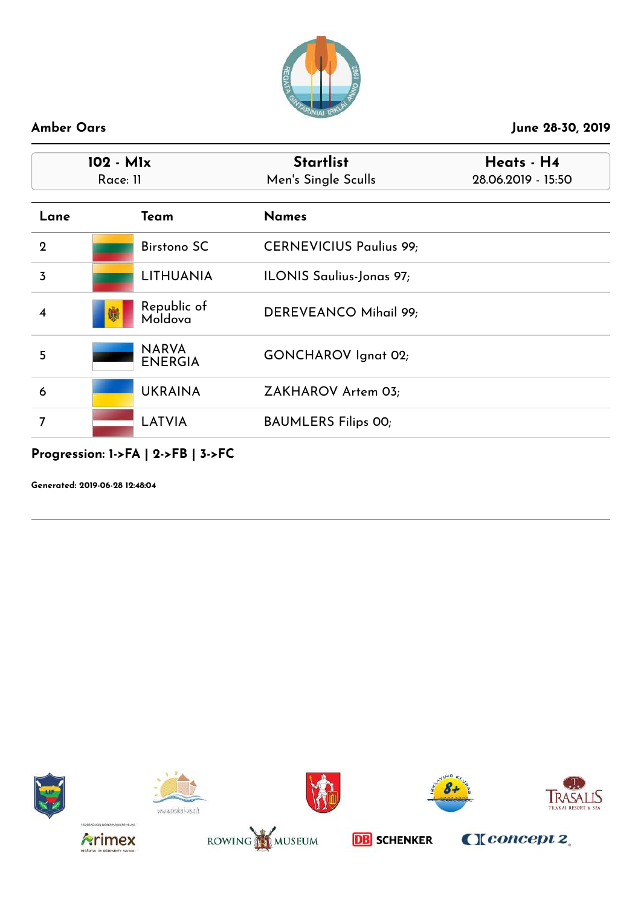

|                         | 102 - Mlx<br>Race: 11                       | <b>Startlist</b><br>Men's Single Sculls | Heats - H4<br>28.06.2019 - 15:50 |
|-------------------------|---------------------------------------------|-----------------------------------------|----------------------------------|
| Lane                    | Team                                        | <b>Names</b>                            |                                  |
| $\boldsymbol{2}$        | <b>Birstono SC</b>                          | <b>CERNEVICIUS Paulius 99;</b>          |                                  |
| $\overline{3}$          | <b>LITHUANIA</b>                            | ILONIS Saulius-Jonas 97;                |                                  |
| $\overline{\mathbf{4}}$ | Republic of<br>嫐<br>Moldova                 | DEREVEANCO Mihail 99;                   |                                  |
| 5                       | <b>NARVA</b><br><b>ENERGIA</b>              | <b>GONCHAROV</b> Ignat 02;              |                                  |
| 6                       | <b>UKRAINA</b>                              | ZAKHAROV Artem 03;                      |                                  |
| $\overline{7}$          | <b>LATVIA</b>                               | <b>BAUMLERS Filips 00;</b>              |                                  |
|                         | Progression: $1$ ->FA   $2$ ->FB   $3$ ->FC |                                         |                                  |

**Generated: 2019-06-28 12:48:04**















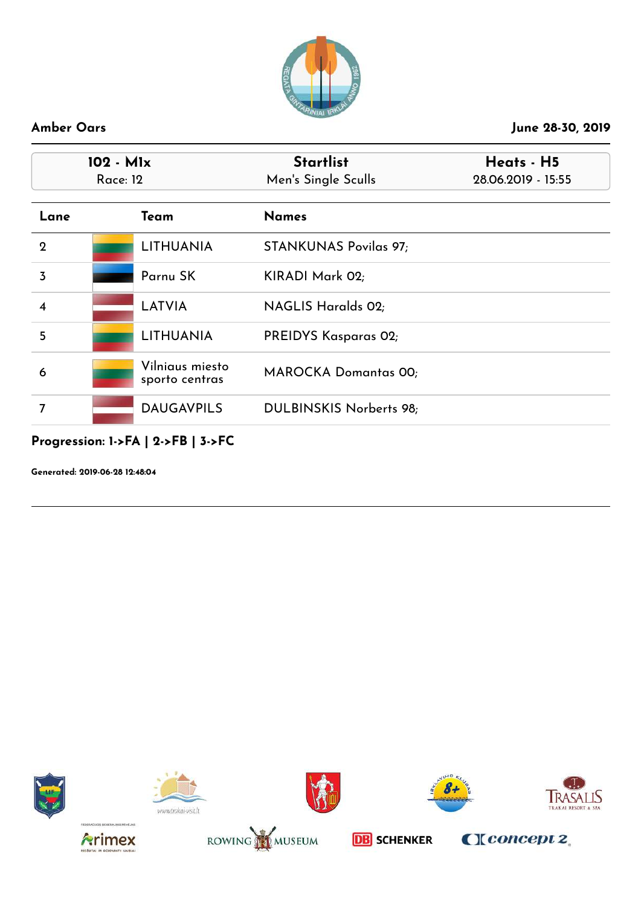

|                         | 102 - M1x<br><b>Race: 12</b> |                                   | <b>Startlist</b><br>Men's Single Sculls | Heats - H5<br>28.06.2019 - 15:55 |
|-------------------------|------------------------------|-----------------------------------|-----------------------------------------|----------------------------------|
| Lane                    |                              | Team                              | <b>Names</b>                            |                                  |
| $\mathbf{2}$            |                              | LITHUANIA                         | <b>STANKUNAS Povilas 97;</b>            |                                  |
| $\overline{3}$          |                              | Parnu SK                          | KIRADI Mark 02;                         |                                  |
| $\overline{\mathbf{4}}$ |                              | <b>LATVIA</b>                     | <b>NAGLIS Haralds 02;</b>               |                                  |
| 5                       |                              | LITHUANIA                         | PREIDYS Kasparas 02;                    |                                  |
| 6                       |                              | Vilniaus miesto<br>sporto centras | <b>MAROCKA Domantas 00;</b>             |                                  |
| 7                       |                              | <b>DAUGAVPILS</b>                 | DULBINSKIS Norberts 98;                 |                                  |

### **Progression: 1->FA | 2->FB | 3->FC**

**Generated: 2019-06-28 12:48:04**















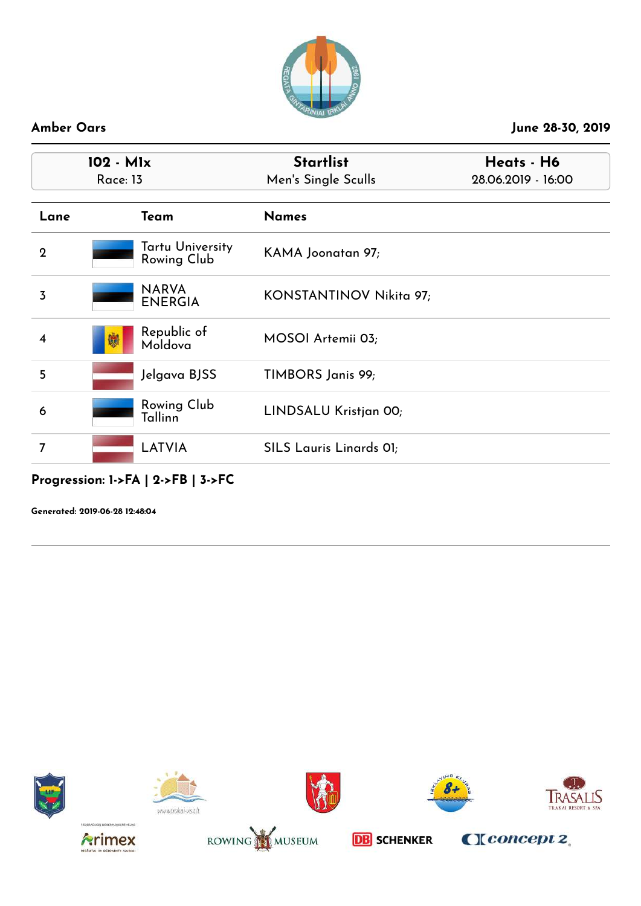

| $102 - M1x$<br><b>Race: 13</b> |                                 | <b>Startlist</b><br>Men's Single Sculls | Heats - H6<br>28.06.2019 - 16:00 |
|--------------------------------|---------------------------------|-----------------------------------------|----------------------------------|
| Lane                           | Team                            | <b>Names</b>                            |                                  |
| $\overline{2}$                 | Tartu University<br>Rowing Club | KAMA Joonatan 97;                       |                                  |
| 3                              | <b>NARVA</b><br><b>ENERGIA</b>  | KONSTANTINOV Nikita 97;                 |                                  |
|                                | Republic of<br>嫐<br>Moldova     | MOSOI Artemii 03;                       |                                  |
| 5                              | Jelgava BJSS                    | TIMBORS Janis 99;                       |                                  |
| 6                              | Rowing Club<br>Tallinn          | LINDSALU Kristjan 00;                   |                                  |
| 7                              | <b>LATVIA</b>                   | SILS Lauris Linards OI;                 |                                  |

# **Progression: 1->FA | 2->FB | 3->FC**

**Generated: 2019-06-28 12:48:04**















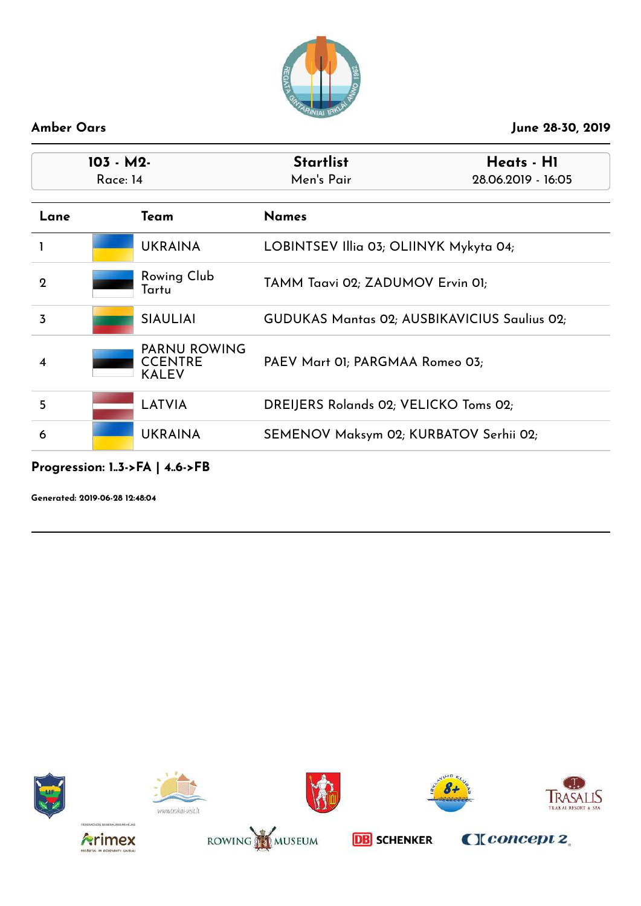

| $103 - M2$<br>Race: 14 |                                                       | <b>Startlist</b><br>Heats - H1<br>Men's Pair<br>28.06.2019 - 16:05 |                                                     |
|------------------------|-------------------------------------------------------|--------------------------------------------------------------------|-----------------------------------------------------|
|                        | Team                                                  | <b>Names</b>                                                       |                                                     |
|                        | <b>UKRAINA</b>                                        | LOBINTSEV Illia 03; OLIINYK Mykyta 04;                             |                                                     |
|                        | Rowing Club<br>Tartu                                  | TAMM Taavi 02; ZADUMOV Ervin 01;                                   |                                                     |
|                        | <b>SIAULIAI</b>                                       |                                                                    | <b>GUDUKAS Mantas 02; AUSBIKAVICIUS Saulius 02;</b> |
|                        | <b>PARNU ROWING</b><br><b>CCENTRE</b><br><b>KALEV</b> | PAEV Mart 01; PARGMAA Romeo 03;                                    |                                                     |
|                        | <b>LATVIA</b>                                         | DREIJERS Rolands 02; VELICKO Toms 02;                              |                                                     |
|                        | <b>UKRAINA</b>                                        | SEMENOV Maksym 02; KURBATOV Serhii 02;                             |                                                     |
|                        |                                                       |                                                                    |                                                     |

### **Progression: 1..3->FA | 4..6->FB**

**Generated: 2019-06-28 12:48:04**















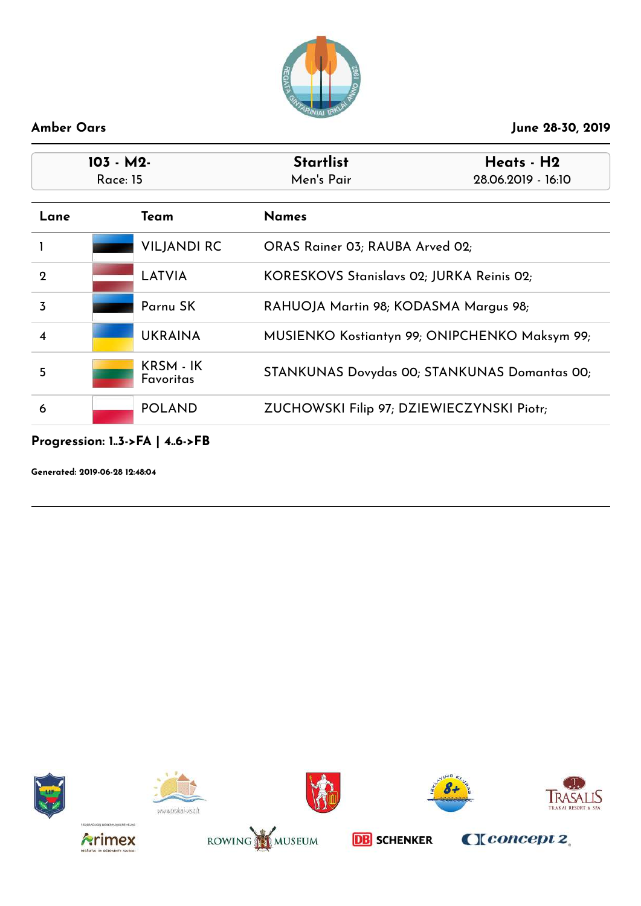

| $103 - M2$<br>Race: 15 |  |                        | <b>Startlist</b><br>Men's Pair            | Heats - H2<br>28.06.2019 - 16:10              |
|------------------------|--|------------------------|-------------------------------------------|-----------------------------------------------|
| Lane                   |  | Team                   | <b>Names</b>                              |                                               |
|                        |  | <b>VILJANDI RC</b>     | ORAS Rainer 03; RAUBA Arved 02;           |                                               |
| $\mathbf{2}$           |  | LATVIA                 | KORESKOVS Stanislavs 02; JURKA Reinis 02; |                                               |
| 3                      |  | Parnu SK               | RAHUOJA Martin 98; KODASMA Margus 98;     |                                               |
| 4                      |  | <b>UKRAINA</b>         |                                           | MUSIENKO Kostiantyn 99; ONIPCHENKO Maksym 99; |
| 5                      |  | KRSM - IK<br>Favoritas |                                           | STANKUNAS Dovydas 00; STANKUNAS Domantas 00;  |
| 6                      |  | <b>POLAND</b>          | ZUCHOWSKI Filip 97; DZIEWIECZYNSKI Piotr; |                                               |

### **Progression: 1..3->FA | 4..6->FB**

**Generated: 2019-06-28 12:48:04**















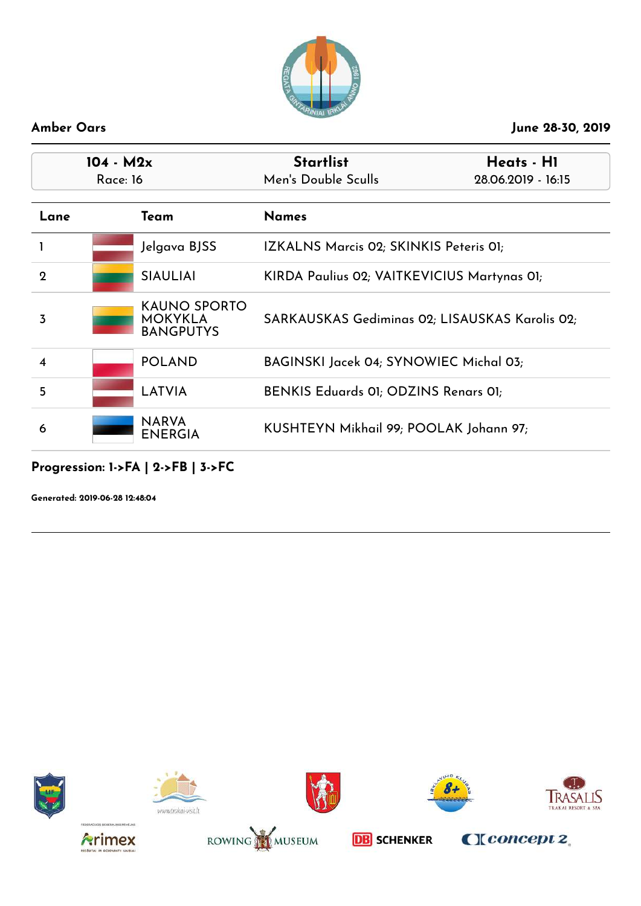

| $104 - M2x$<br><b>Race: 16</b> |  |                                                           | <b>Startlist</b><br>Men's Double Sculls        | Heats - H1<br>28.06.2019 - 16:15 |
|--------------------------------|--|-----------------------------------------------------------|------------------------------------------------|----------------------------------|
| Lane                           |  | Team                                                      | <b>Names</b>                                   |                                  |
|                                |  | Jelgava BJSS                                              | IZKALNS Marcis 02; SKINKIS Peteris 01;         |                                  |
| $\mathbf 2$                    |  | <b>SIAULIAI</b>                                           | KIRDA Paulius 02; VAITKEVICIUS Martynas 01;    |                                  |
| 3                              |  | <b>KAUNO SPORTO</b><br><b>MOKYKLA</b><br><b>BANGPUTYS</b> | SARKAUSKAS Gediminas 02; LISAUSKAS Karolis 02; |                                  |
| 4                              |  | <b>POLAND</b>                                             | BAGINSKI Jacek 04; SYNOWIEC Michal 03;         |                                  |
| 5                              |  | <b>LATVIA</b>                                             | BENKIS Eduards 01; ODZINS Renars 01;           |                                  |
| 6                              |  | <b>NARVA</b><br><b>ENERGIA</b>                            | KUSHTEYN Mikhail 99; POOLAK Johann 97;         |                                  |

### **Progression: 1->FA | 2->FB | 3->FC**

**Generated: 2019-06-28 12:48:04**















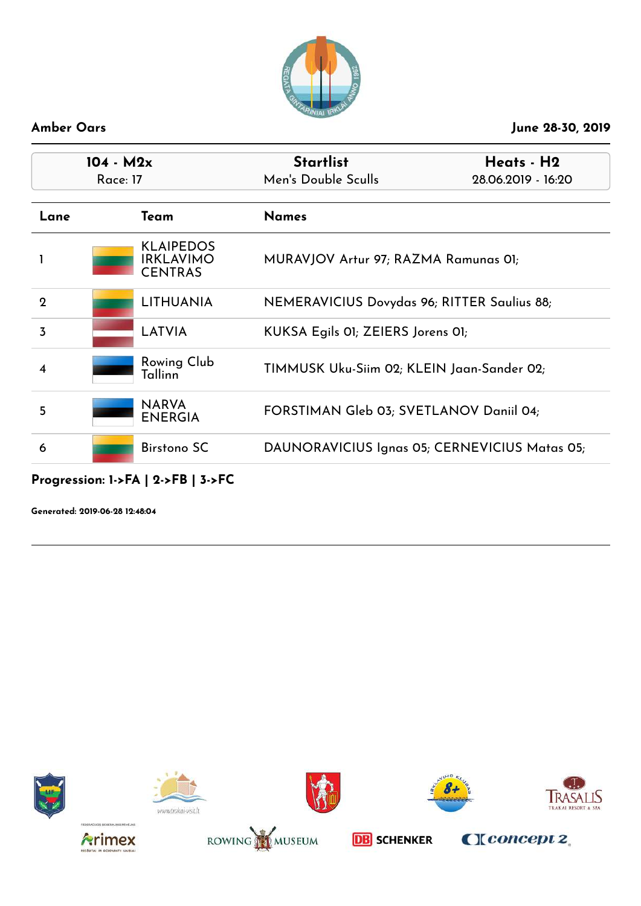

| $104 - M2x$<br><b>Race: 17</b> |                                                        | <b>Startlist</b><br>Men's Double Sculls       | Heats - H2<br>28.06.2019 - 16:20 |
|--------------------------------|--------------------------------------------------------|-----------------------------------------------|----------------------------------|
| Lane                           | Team                                                   | <b>Names</b>                                  |                                  |
|                                | <b>KLAIPEDOS</b><br><b>IRKLAVIMO</b><br><b>CENTRAS</b> | MURAVJOV Artur 97; RAZMA Ramunas 01;          |                                  |
| $\mathbf 2$                    | <b>LITHUANIA</b>                                       | NEMERAVICIUS Dovydas 96; RITTER Saulius 88;   |                                  |
| 3                              | LATVIA                                                 | KUKSA Egils 01; ZEIERS Jorens 01;             |                                  |
| 4                              | <b>Rowing Club</b><br>Tallinn                          | TIMMUSK Uku-Siim 02; KLEIN Jaan-Sander 02;    |                                  |
| 5                              | <b>NARVA</b><br><b>ENERGIA</b>                         | FORSTIMAN Gleb 03; SVETLANOV Daniil 04;       |                                  |
| 6                              | Birstono SC                                            | DAUNORAVICIUS Ignas 05; CERNEVICIUS Matas 05; |                                  |

# **Progression: 1->FA | 2->FB | 3->FC**

**Generated: 2019-06-28 12:48:04**















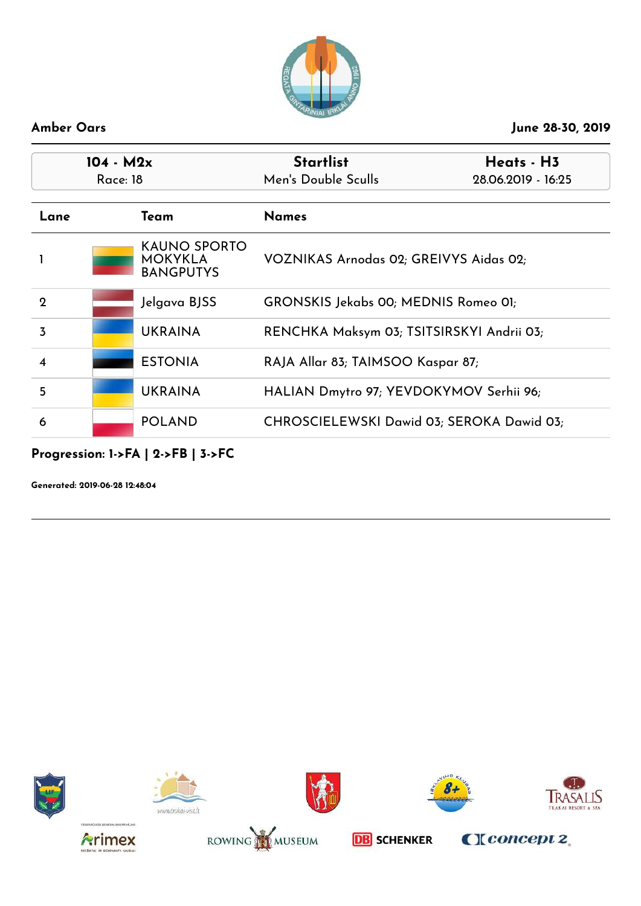

| $104 - M2x$<br>Race: 18 |  |                                                           | <b>Startlist</b><br>Men's Double Sculls   | Heats - H3<br>28.06.2019 - 16:25 |
|-------------------------|--|-----------------------------------------------------------|-------------------------------------------|----------------------------------|
|                         |  |                                                           |                                           |                                  |
| Lane                    |  | Team                                                      | <b>Names</b>                              |                                  |
|                         |  | <b>KAUNO SPORTO</b><br><b>MOKYKLA</b><br><b>BANGPUTYS</b> | VOZNIKAS Arnodas 02; GREIVYS Aidas 02;    |                                  |
| 2                       |  | Jelgava BJSS                                              | GRONSKIS Jekabs 00; MEDNIS Romeo 01;      |                                  |
| 3                       |  | <b>UKRAINA</b>                                            | RENCHKA Maksym 03; TSITSIRSKYI Andrii 03; |                                  |
| $\boldsymbol{4}$        |  | <b>ESTONIA</b>                                            | RAJA Allar 83; TAIMSOO Kaspar 87;         |                                  |
| 5                       |  | <b>UKRAINA</b>                                            | HALIAN Dmytro 97; YEVDOKYMOV Serhii 96;   |                                  |
| 6                       |  | <b>POLAND</b>                                             | CHROSCIELEWSKI Dawid 03; SEROKA Dawid 03; |                                  |

# **Progression: 1->FA | 2->FB | 3->FC**

**Generated: 2019-06-28 12:48:04**















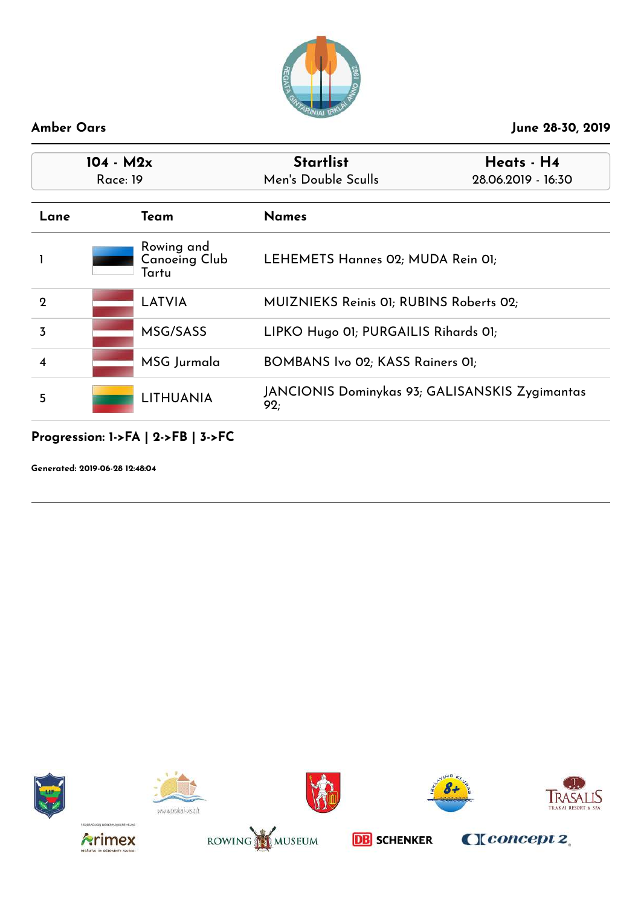

|      | $104 - M2x$ |                                             | <b>Startlist</b>                                      | Heats - H4         |
|------|-------------|---------------------------------------------|-------------------------------------------------------|--------------------|
|      | Race: 19    |                                             | Men's Double Sculls                                   | 28.06.2019 - 16:30 |
| Lane |             | Team                                        | <b>Names</b>                                          |                    |
|      |             | Rowing and<br><b>Canoeing Club</b><br>Tartu | LEHEMETS Hannes 02; MUDA Rein 01;                     |                    |
| 2    |             | <b>LATVIA</b>                               | MUIZNIEKS Reinis 01; RUBINS Roberts 02;               |                    |
| 3    |             | MSG/SASS                                    | LIPKO Hugo 01; PURGAILIS Rihards 01;                  |                    |
| 4    |             | MSG Jurmala                                 | BOMBANS Ivo 02; KASS Rainers 01;                      |                    |
| 5    |             | <b>LITHUANIA</b>                            | JANCIONIS Dominykas 93; GALISANSKIS Zygimantas<br>92: |                    |

# **Progression: 1->FA | 2->FB | 3->FC**

**Generated: 2019-06-28 12:48:04**















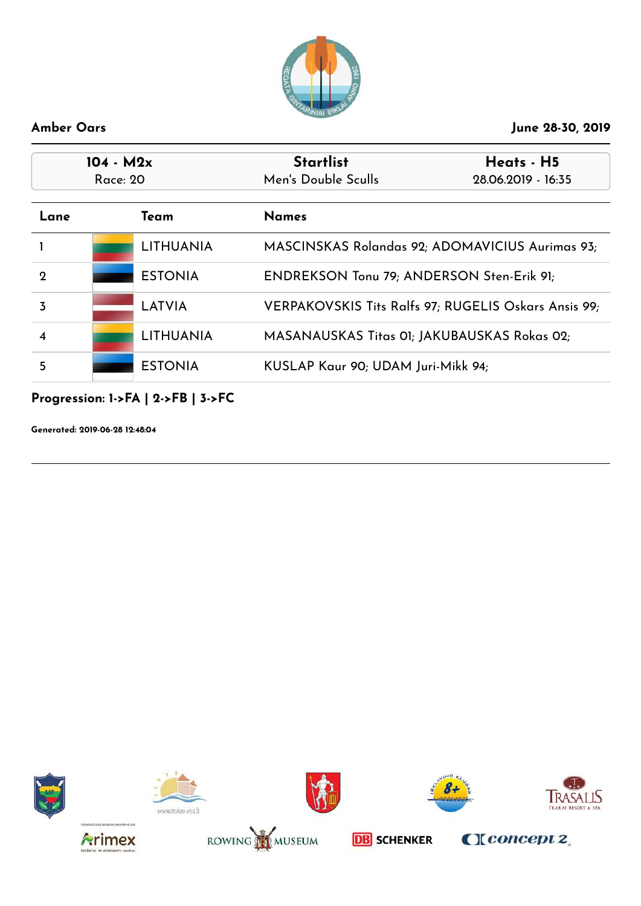

| $104 - M2x$<br>Race: 20 |                  | <b>Startlist</b><br>Men's Double Sculls     | Heats - H5<br>28.06.2019 - 16:35                     |
|-------------------------|------------------|---------------------------------------------|------------------------------------------------------|
| Lane                    | Team             | <b>Names</b>                                |                                                      |
|                         | <b>LITHUANIA</b> |                                             | MASCINSKAS Rolandas 92; ADOMAVICIUS Aurimas 93;      |
| 2                       | <b>ESTONIA</b>   | ENDREKSON Tonu 79; ANDERSON Sten-Erik 91;   |                                                      |
| 3                       | LATVIA           |                                             | VERPAKOVSKIS Tits Ralfs 97; RUGELIS Oskars Ansis 99; |
|                         | <b>LITHUANIA</b> | MASANAUSKAS Titas 01; JAKUBAUSKAS Rokas 02; |                                                      |
| 5                       | <b>ESTONIA</b>   | KUSLAP Kaur 90; UDAM Juri-Mikk 94;          |                                                      |

**Progression: 1->FA | 2->FB | 3->FC**

**Generated: 2019-06-28 12:48:04**















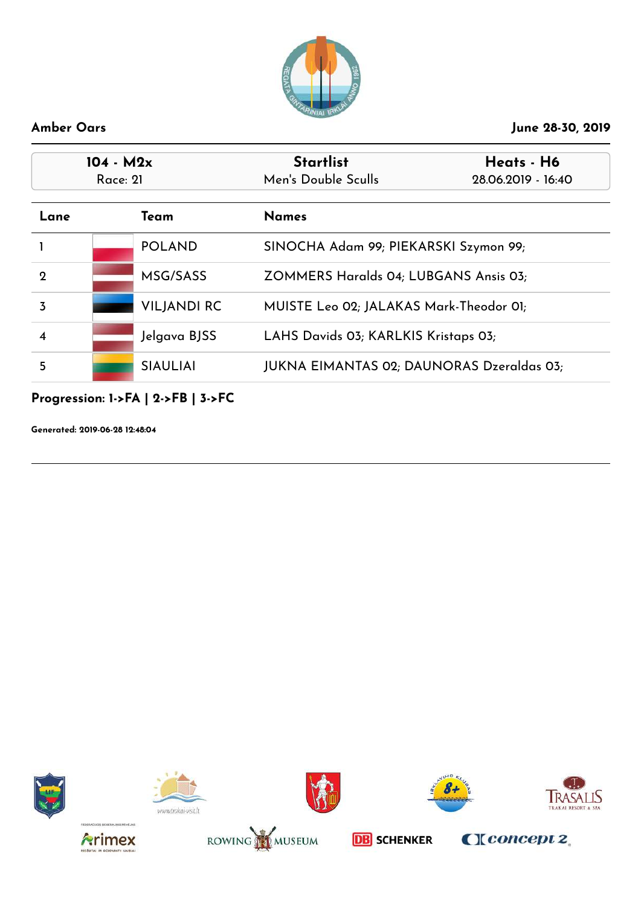

| 104 - M2x<br>Race: 21 |  |                    | <b>Startlist</b><br>Men's Double Sculls   | Heats - H6<br>28.06.2019 - 16:40 |
|-----------------------|--|--------------------|-------------------------------------------|----------------------------------|
| Lane                  |  | Team               | <b>Names</b>                              |                                  |
|                       |  | <b>POLAND</b>      | SINOCHA Adam 99; PIEKARSKI Szymon 99;     |                                  |
| 2                     |  | MSG/SASS           | ZOMMERS Haralds 04; LUBGANS Ansis 03;     |                                  |
| 3                     |  | <b>VILJANDI RC</b> | MUISTE Leo 02; JALAKAS Mark-Theodor 01;   |                                  |
| 4                     |  | Jelgava BJSS       | LAHS Davids 03; KARLKIS Kristaps 03;      |                                  |
| 5                     |  | <b>SIAULIAI</b>    | JUKNA EIMANTAS 02; DAUNORAS Dzeraldas 03; |                                  |

**Progression: 1->FA | 2->FB | 3->FC**

**Generated: 2019-06-28 12:48:04**















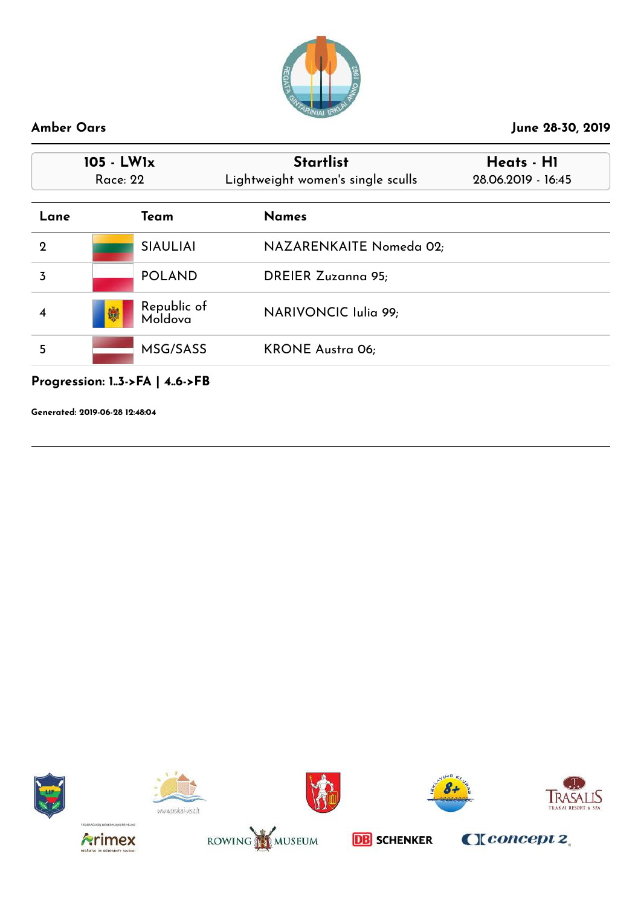

| $105 - LW1x$<br><b>Race: 22</b> |                                      | <b>Startlist</b><br>Lightweight women's single sculls | Heats - HI<br>28.06.2019 - 16:45 |
|---------------------------------|--------------------------------------|-------------------------------------------------------|----------------------------------|
| Lane                            | Team                                 | <b>Names</b>                                          |                                  |
| $\mathbf 2$                     | <b>SIAULIAI</b>                      | NAZARENKAITE Nomeda 02;                               |                                  |
| $\overline{3}$                  | <b>POLAND</b>                        | <b>DREIER Zuzanna 95;</b>                             |                                  |
| 4                               | Republic of<br>嫐<br>Moldova          | NARIVONCIC Iulia 99;                                  |                                  |
| 5                               | MSG/SASS                             | <b>KRONE Austra 06;</b>                               |                                  |
|                                 | Progression: $1.3$ ->FA   $4.6$ ->FB |                                                       |                                  |

**Generated: 2019-06-28 12:48:04**















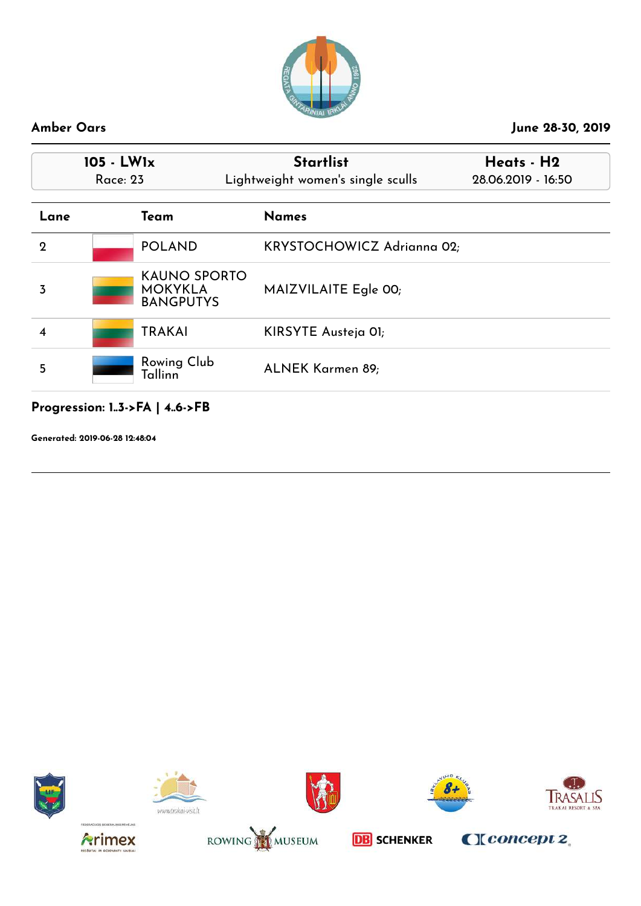

| $105 - LW1x$<br>Race: 23 |                                                           | <b>Startlist</b><br>Lightweight women's single sculls | Heats - H2<br>28.06.2019 - 16:50 |
|--------------------------|-----------------------------------------------------------|-------------------------------------------------------|----------------------------------|
| Lane                     | Team                                                      | <b>Names</b>                                          |                                  |
| $\mathbf{2}$             | <b>POLAND</b>                                             | KRYSTOCHOWICZ Adrianna 02;                            |                                  |
| 3                        | <b>KAUNO SPORTO</b><br><b>MOKYKLA</b><br><b>BANGPUTYS</b> | MAIZVILAITE Egle 00;                                  |                                  |
| 4                        | <b>TRAKAI</b>                                             | KIRSYTE Austeja OI;                                   |                                  |
| 5                        | Rowing Club<br>Tallinn                                    | ALNEK Karmen 89;                                      |                                  |

# **Progression: 1..3->FA | 4..6->FB**

**Generated: 2019-06-28 12:48:04**















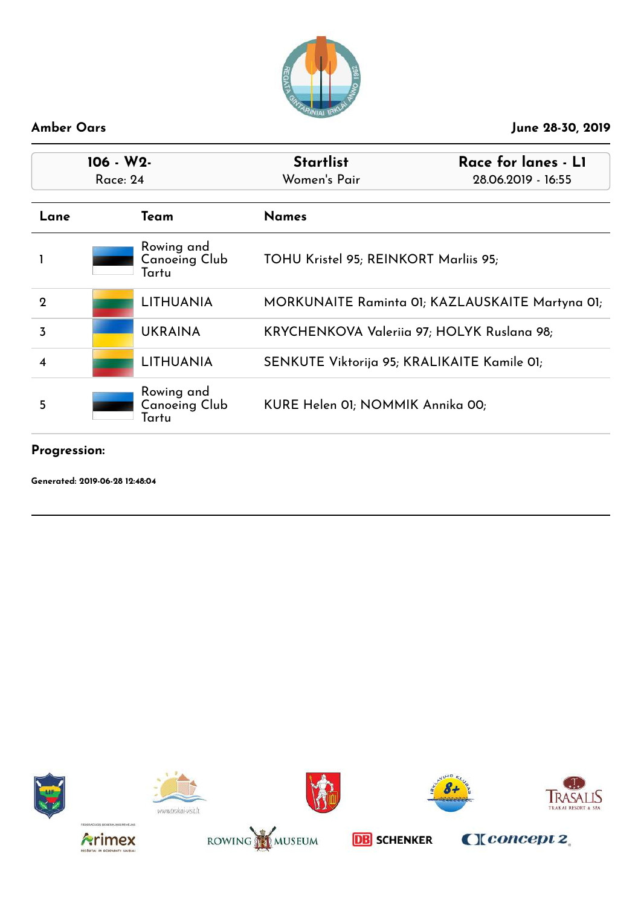

| 106 - W2-<br><b>Race: 24</b> |  |                                             | <b>Startlist</b><br>Women's Pair            | Race for lanes - L1<br>28.06.2019 - 16:55       |
|------------------------------|--|---------------------------------------------|---------------------------------------------|-------------------------------------------------|
| Lane                         |  | Team                                        | <b>Names</b>                                |                                                 |
|                              |  | Rowing and<br><b>Canoeing Club</b><br>Tartu | TOHU Kristel 95; REINKORT Marliis 95;       |                                                 |
| $\mathbf 2$                  |  | <b>LITHUANIA</b>                            |                                             | MORKUNAITE Raminta 01; KAZLAUSKAITE Martyna 01; |
| 3                            |  | <b>UKRAINA</b>                              | KRYCHENKOVA Valeriia 97; HOLYK Ruslana 98;  |                                                 |
|                              |  | <b>LITHUANIA</b>                            | SENKUTE Viktorija 95; KRALIKAITE Kamile 01; |                                                 |
| 5                            |  | Rowing and<br><b>Canoeing Club</b><br>Tartu | KURE Helen 01; NOMMIK Annika 00;            |                                                 |

### **Progression:**

**Generated: 2019-06-28 12:48:04**















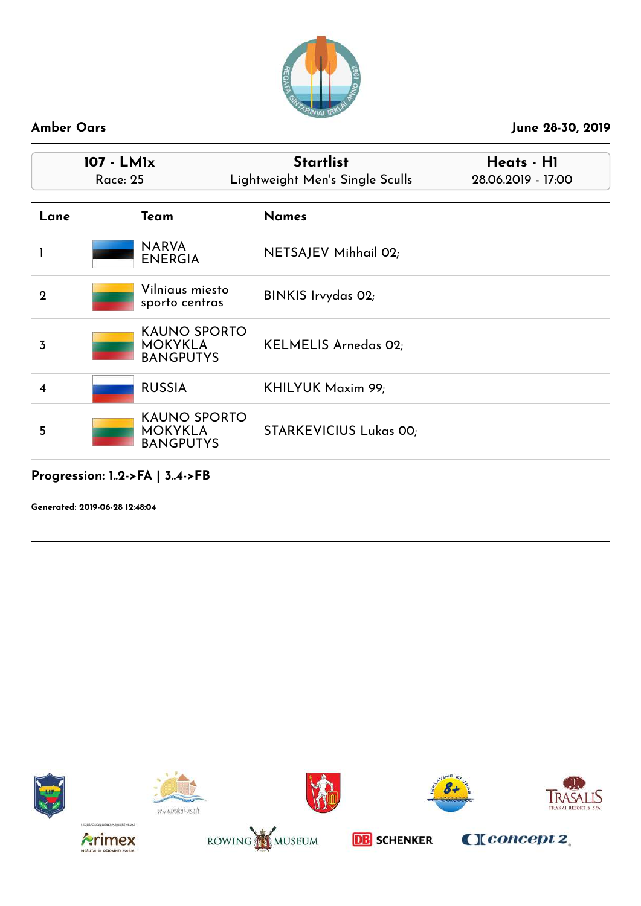

| 107 - LM1x<br><b>Race: 25</b> |                                                           | <b>Startlist</b><br>Lightweight Men's Single Sculls | Heats - H1<br>28.06.2019 - 17:00 |
|-------------------------------|-----------------------------------------------------------|-----------------------------------------------------|----------------------------------|
| Lane                          | Team                                                      | <b>Names</b>                                        |                                  |
|                               | <b>NARVA</b><br><b>ENERGIA</b>                            | NETSAJEV Mihhail 02;                                |                                  |
| $\mathbf 2$                   | Vilniaus miesto<br>sporto centras                         | BINKIS Irvydas 02;                                  |                                  |
| 3                             | <b>KAUNO SPORTO</b><br><b>MOKYKLA</b><br><b>BANGPUTYS</b> | KELMELIS Arnedas 02;                                |                                  |
| 4                             | <b>RUSSIA</b>                                             | KHILYUK Maxim 99;                                   |                                  |
| 5                             | <b>KAUNO SPORTO</b><br><b>MOKYKLA</b><br><b>BANGPUTYS</b> | <b>STARKEVICIUS Lukas 00;</b>                       |                                  |

### **Progression: 1..2->FA | 3..4->FB**

**Generated: 2019-06-28 12:48:04**















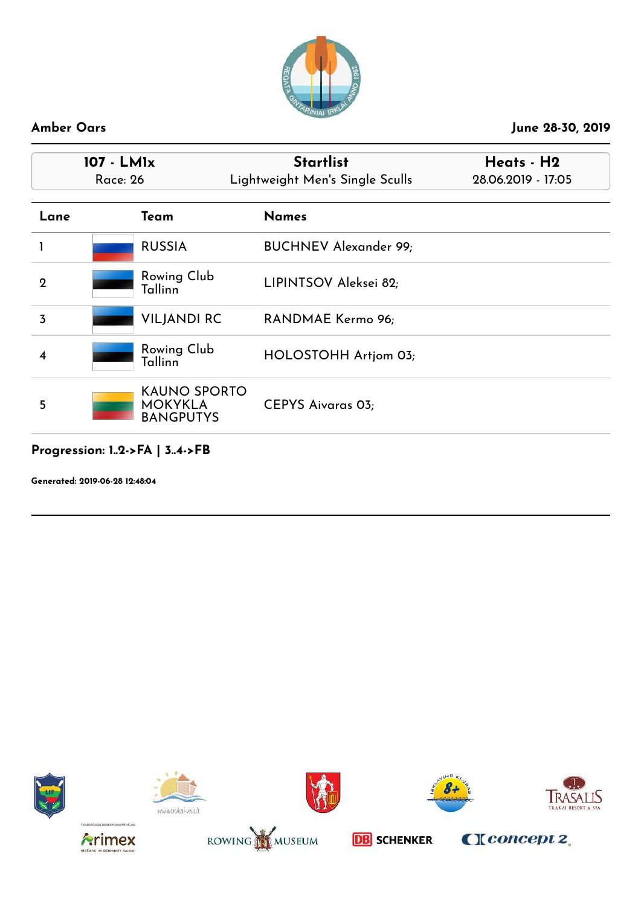

|             | 107 - LM1x<br><b>Race: 26</b>                             | <b>Startlist</b><br>Lightweight Men's Single Sculls | Heats - H2<br>28.06.2019 - 17:05 |
|-------------|-----------------------------------------------------------|-----------------------------------------------------|----------------------------------|
| Lane        | Team                                                      | <b>Names</b>                                        |                                  |
|             | <b>RUSSIA</b>                                             | <b>BUCHNEV Alexander 99;</b>                        |                                  |
| $\mathbf 2$ | <b>Rowing Club</b><br>Tallinn                             | LIPINTSOV Aleksei 82;                               |                                  |
| 3           | <b>VILJANDI RC</b>                                        | RANDMAE Kermo 96;                                   |                                  |
| 4           | Rowing Club<br>Tallinn                                    | HOLOSTOHH Artjom 03;                                |                                  |
| 5           | <b>KAUNO SPORTO</b><br><b>MOKYKLA</b><br><b>BANGPUTYS</b> | <b>CEPYS Aivaras 03;</b>                            |                                  |

# **Progression: 1..2->FA | 3..4->FB**

**Generated: 2019-06-28 12:48:04**















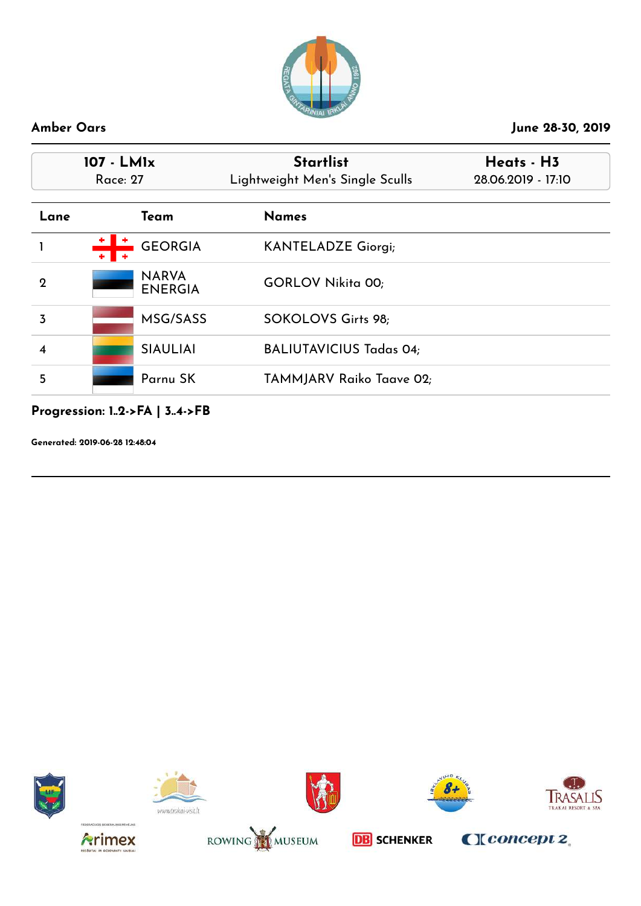

| 107 - LM1x<br>Race: 27 |                                | <b>Startlist</b><br>Lightweight Men's Single Sculls | Heats - H3<br>28.06.2019 - 17:10 |  |
|------------------------|--------------------------------|-----------------------------------------------------|----------------------------------|--|
| Lane                   | Team                           | <b>Names</b>                                        |                                  |  |
|                        | <b>GEORGIA</b>                 | <b>KANTELADZE Giorgi;</b>                           |                                  |  |
| $\mathbf 2$            | <b>NARVA</b><br><b>ENERGIA</b> | <b>GORLOV Nikita 00;</b>                            |                                  |  |
| 3                      | MSG/SASS                       | SOKOLOVS Girts 98;                                  |                                  |  |
| 4                      | <b>SIAULIAI</b>                | <b>BALIUTAVICIUS Tadas 04;</b>                      |                                  |  |
| 5                      | Parnu SK                       | TAMMJARV Raiko Taave 02;                            |                                  |  |

# **Progression: 1..2->FA | 3..4->FB**

**Generated: 2019-06-28 12:48:04**















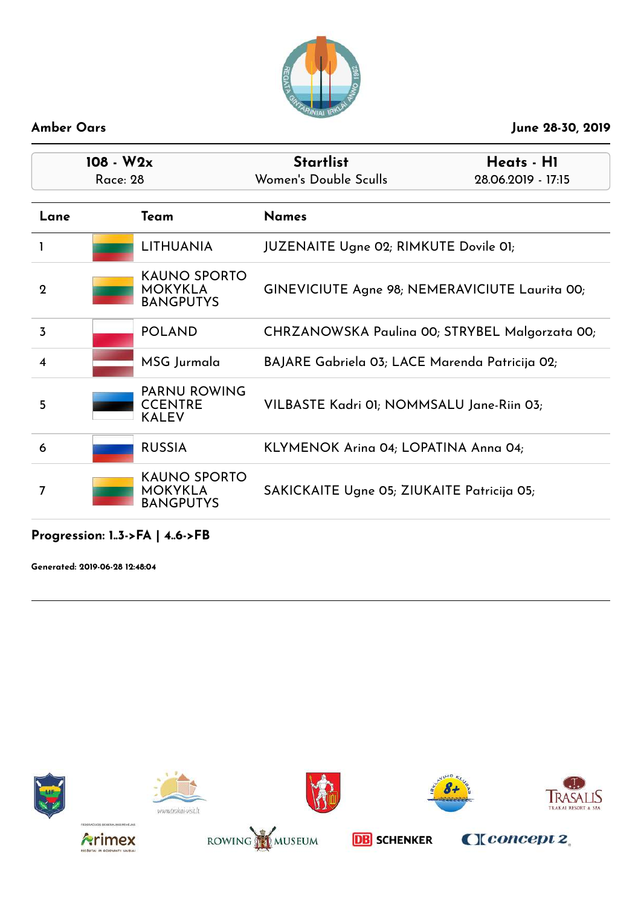

| $108 - W2x$<br><b>Race: 28</b> |                                                           | <b>Startlist</b><br>Women's Double Sculls      | Heats - H1<br>28.06.2019 - 17:15               |
|--------------------------------|-----------------------------------------------------------|------------------------------------------------|------------------------------------------------|
| Lane                           | Team                                                      | <b>Names</b>                                   |                                                |
|                                | <b>LITHUANIA</b>                                          | JUZENAITE Ugne 02; RIMKUTE Dovile 01;          |                                                |
| $\mathbf 2$                    | <b>KAUNO SPORTO</b><br><b>MOKYKLA</b><br><b>BANGPUTYS</b> | GINEVICIUTE Agne 98; NEMERAVICIUTE Laurita 00; |                                                |
| 3                              | <b>POLAND</b>                                             |                                                | CHRZANOWSKA Paulina 00; STRYBEL Malgorzata 00; |
| $\overline{\bf{4}}$            | MSG Jurmala                                               | BAJARE Gabriela 03; LACE Marenda Patricija 02; |                                                |
| 5                              | <b>PARNU ROWING</b><br><b>CCENTRE</b><br><b>KALEV</b>     | VILBASTE Kadri 01; NOMMSALU Jane-Riin 03;      |                                                |
| 6                              | <b>RUSSIA</b>                                             | KLYMENOK Arina 04; LOPATINA Anna 04;           |                                                |
| 7                              | <b>KAUNO SPORTO</b><br><b>MOKYKLA</b><br><b>BANGPUTYS</b> | SAKICKAITE Ugne 05; ZIUKAITE Patricija 05;     |                                                |

### **Progression: 1..3->FA | 4..6->FB**

**Generated: 2019-06-28 12:48:04**















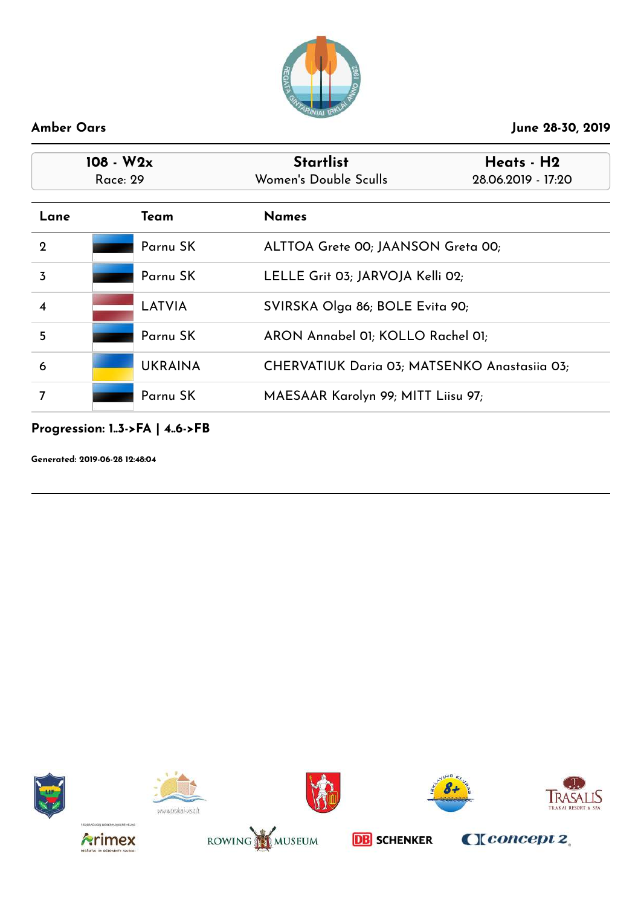

| $108 - W2x$<br>Race: 29 |  |                | <b>Startlist</b><br>Women's Double Sculls    | Heats - H2<br>28.06.2019 - 17:20 |
|-------------------------|--|----------------|----------------------------------------------|----------------------------------|
| Lane                    |  | Team           | <b>Names</b>                                 |                                  |
| $\overline{2}$          |  | Parnu SK       | ALTTOA Grete 00; JAANSON Greta 00;           |                                  |
| $\overline{3}$          |  | Parnu SK       | LELLE Grit 03; JARVOJA Kelli 02;             |                                  |
|                         |  | <b>LATVIA</b>  | SVIRSKA Olga 86; BOLE Evita 90;              |                                  |
| 5                       |  | Parnu SK       | ARON Annabel 01; KOLLO Rachel 01;            |                                  |
| 6                       |  | <b>UKRAINA</b> | CHERVATIUK Daria 03; MATSENKO Anastasiia 03; |                                  |
| 7                       |  | Parnu SK       | MAESAAR Karolyn 99; MITT Liisu 97;           |                                  |

### **Progression: 1..3->FA | 4..6->FB**

**Generated: 2019-06-28 12:48:04**















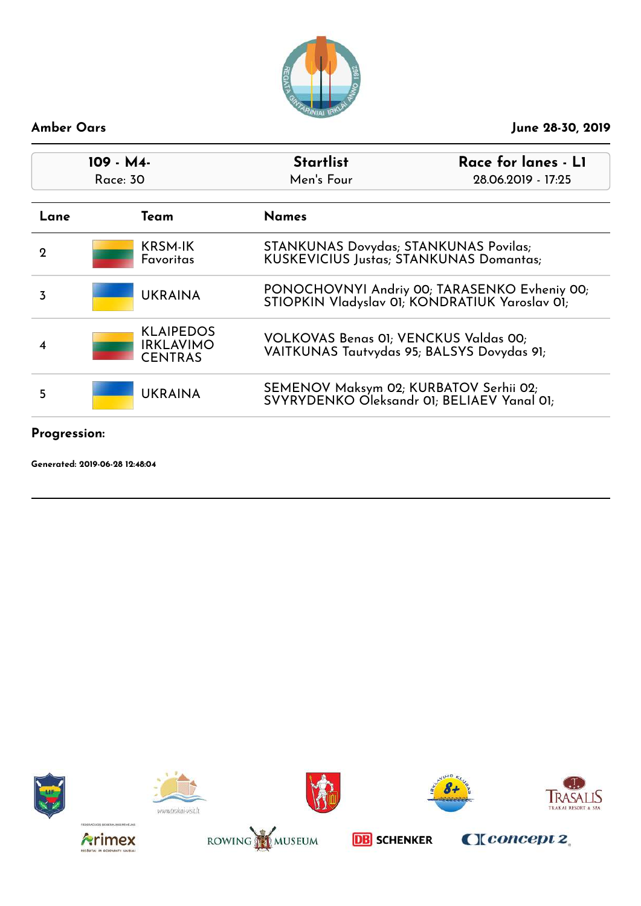

| $109 - M4$<br>Race: 30 |                                                        | <b>Startlist</b><br>Men's Four                                                                 | Race for lanes - L1<br>28.06.2019 - 17:25 |
|------------------------|--------------------------------------------------------|------------------------------------------------------------------------------------------------|-------------------------------------------|
| Lane                   | Team                                                   | <b>Names</b>                                                                                   |                                           |
| 2                      | <b>KRSM-IK</b><br>Favoritas                            | <b>STANKUNAS Dovydas; STANKUNAS Povilas;</b><br><b>KUSKEVICIUS Justas; STANKUNAS Domantas;</b> |                                           |
| 3                      | <b>UKRAINA</b>                                         | PONOCHOVNYI Andriy 00; TARASENKO Evheniy 00;<br>STIOPKIN Vladyslav 01; KONDRATIUK Yaroslav 01; |                                           |
| $\boldsymbol{4}$       | <b>KLAIPEDOS</b><br><b>IRKLAVIMO</b><br><b>CENTRAS</b> | VOLKOVAS Benas 01; VENCKUS Valdas 00;<br>VAITKUNAS Tautvydas 95; BALSYS Dovydas 91;            |                                           |
| 5                      | <b>UKRAINA</b>                                         | SEMENOV Maksym 02; KURBATOV Serhii 02;<br>SVYRYDENKO Oleksandr 01; BELIAEV Yanal 01;           |                                           |

### **Progression:**

**Generated: 2019-06-28 12:48:04**















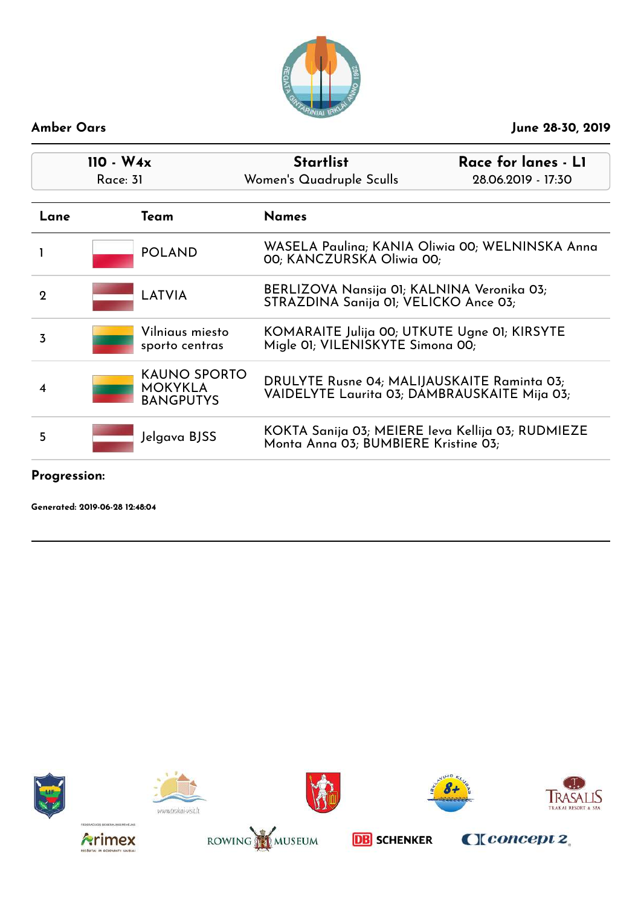

| $110 - W_4x$<br>Race: 31 |                                                    | <b>Startlist</b><br>Women's Quadruple Sculls                                        | Race for lanes - L1<br>28.06.2019 - 17:30         |
|--------------------------|----------------------------------------------------|-------------------------------------------------------------------------------------|---------------------------------------------------|
| Lane                     | Team                                               | <b>Names</b>                                                                        |                                                   |
|                          | <b>POLAND</b>                                      | 00; KANCZURSKA Oliwia 00;                                                           | WASELA Paulina; KANIA Oliwia 00; WELNINSKA Anna   |
| 2                        | LATVIA                                             | BERLIZOVA Nansija 01; KALNINA Veronika 03;<br>STRAZDINA Sanija 01; VELICKO Ance 03; |                                                   |
| 3                        | Vilniaus miesto<br>sporto centras                  | KOMARAITE Julija 00; UTKUTE Ugne 01; KIRSYTE<br>Migle 01; VILENISKYTE Simona 00;    |                                                   |
| 4                        | KAUNO SPORTO<br><b>MOKYKLA</b><br><b>BANGPUTYS</b> | DRULYTE Rusne 04; MALIJAUSKAITE Raminta 03;                                         | VAIDELYTE Laurita 03; DAMBRAUSKAITE Mija 03;      |
| 5                        | Jelgava BJSS                                       | Monta Anna 03; BUMBIERE Kristine 03;                                                | KOKTA Sanija 03; MEIERE Ieva Kellija 03; RUDMIEZE |
|                          |                                                    |                                                                                     |                                                   |

**Progression:**

**Generated: 2019-06-28 12:48:04**















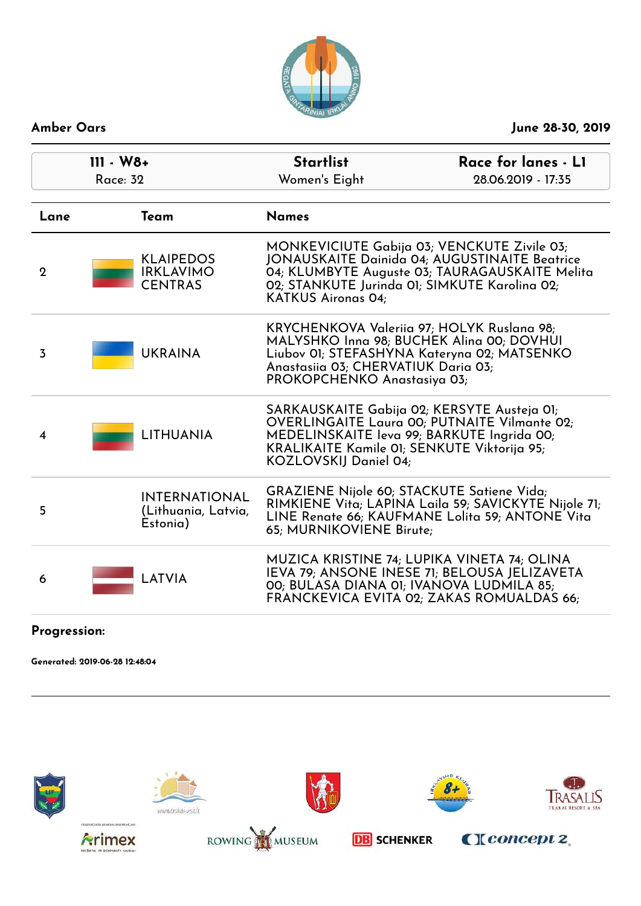

| $III - W8+$<br><b>Race: 32</b> |  |                                                         | <b>Startlist</b><br>Women's Eight                                                                                                                                                                                                   | Race for lanes - L1<br>28.06.2019 - 17:35                                                                                                |
|--------------------------------|--|---------------------------------------------------------|-------------------------------------------------------------------------------------------------------------------------------------------------------------------------------------------------------------------------------------|------------------------------------------------------------------------------------------------------------------------------------------|
| Lane                           |  | Team                                                    | <b>Names</b>                                                                                                                                                                                                                        |                                                                                                                                          |
| $\mathbf{2}$                   |  | <b>KLAIPEDOS</b><br><b>IRKLAVIMO</b><br><b>CENTRAS</b>  | MONKEVICIUTE Gabija 03; VENCKUTE Zivile 03;<br><b>JONAUSKAITE Dainida 04; AUGUSTINAITE Beatrice</b><br>04; KLUMBYTE Auguste 03; TAURAGAUSKAITE Melita<br>02; STANKUTE Jurinda 01; SIMKUTE Karolina 02;<br><b>KATKUS Aironas 04:</b> |                                                                                                                                          |
| $\overline{3}$                 |  | <b>UKRAINA</b>                                          | KRYCHENKOVA Valeriia 97; HOLYK Ruslana 98;<br>MALYSHKO Inna 98; BUCHEK Alina 00; DOVHUI<br>Anastasiia 03; CHERVATIUK Daria 03;<br>PROKOPCHENKO Anastasiya 03;                                                                       | Liubov 01; STEFASHYNA Kateryna 02; MATSENKO                                                                                              |
| 4                              |  | <b>LITHUANIA</b>                                        | SARKAUSKAITE Gabija 02; KERSYTE Austeja 01;<br>MEDELINSKAITE leva 99; BARKUTE Ingrida 00;<br>KRALIKAITE Kamile 01; SENKUTE Viktorija 95;<br>KOZLOVSKIJ Daniel 04;                                                                   | <b>OVERLINGAITE Laura 00; PUTNAITE Vilmante 02;</b>                                                                                      |
| 5                              |  | <b>INTERNATIONAL</b><br>(Lithuania, Latvia,<br>Estonia) | <b>GRAZIENE Nijole 60; STACKUTE Satiene Vida;</b><br>65; MURNIKOVIENE Birute;                                                                                                                                                       | RIMKIENE Vita; LAPINA Laila 59; SAVICKYTE Nijole 71;<br>LINE Renate 66; KAUFMANE Lolita 59; ANTONE Vita                                  |
| 6                              |  | LATVIA                                                  | 00; BULASA DIANA 01; IVANOVA LUDMILA 85;                                                                                                                                                                                            | MUZICA KRISTINE 74; LUPIKA VINETA 74; OLINA<br>IEVA 79; ANSONE INESE 71; BELOUSA JELIZAVETA<br>FRANCKEVICA EVITA 02; ZAKAS ROMUALDAS 66; |
|                                |  |                                                         |                                                                                                                                                                                                                                     |                                                                                                                                          |

### **Progression:**

**Generated: 2019-06-28 12:48:04**

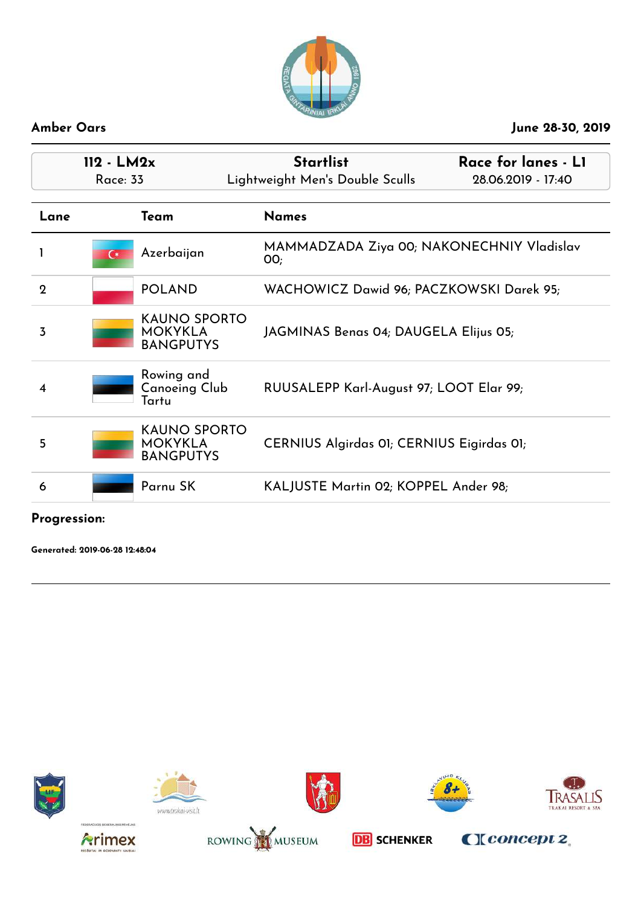

| $112 - LM2x$<br><b>Race: 33</b> |                                                           | <b>Startlist</b><br>Race for lanes - L1<br>Lightweight Men's Double Sculls<br>28.06.2019 - 17:40 |  |
|---------------------------------|-----------------------------------------------------------|--------------------------------------------------------------------------------------------------|--|
| Lane                            | Team                                                      | <b>Names</b>                                                                                     |  |
|                                 | Azerbaijan<br>$\epsilon$                                  | MAMMADZADA Ziya 00; NAKONECHNIY Vladislav<br>OO;                                                 |  |
| $\mathbf{2}$                    | <b>POLAND</b>                                             | WACHOWICZ Dawid 96; PACZKOWSKI Darek 95;                                                         |  |
| 3                               | <b>KAUNO SPORTO</b><br><b>MOKYKLA</b><br><b>BANGPUTYS</b> | JAGMINAS Benas 04; DAUGELA Elijus 05;                                                            |  |
| 4                               | Rowing and<br>Canoeing Club<br>Tartu                      | RUUSALEPP Karl-August 97; LOOT Elar 99;                                                          |  |
| 5                               | <b>KAUNO SPORTO</b><br><b>MOKYKLA</b><br><b>BANGPUTYS</b> | CERNIUS Algirdas 01; CERNIUS Eigirdas 01;                                                        |  |
| 6                               | Parnu SK                                                  | KALJUSTE Martin 02; KOPPEL Ander 98;                                                             |  |

**Progression:**

**Generated: 2019-06-28 12:48:04**















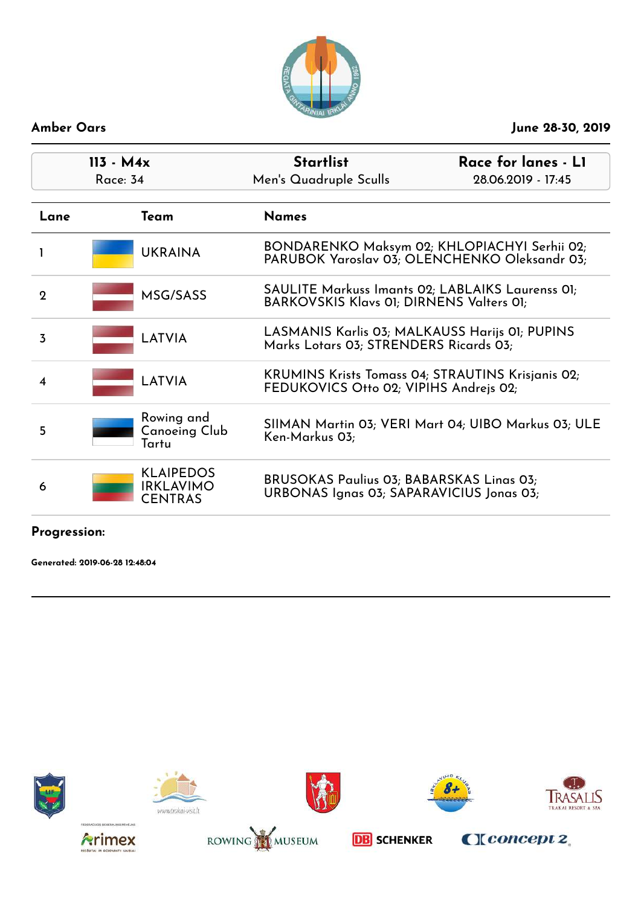

| $113 - M4x$<br><b>Race: 34</b> |                                                        | <b>Startlist</b><br>Men's Quadruple Sculls                                                  | Race for lanes - L1<br>28.06.2019 - 17:45                                                     |  |
|--------------------------------|--------------------------------------------------------|---------------------------------------------------------------------------------------------|-----------------------------------------------------------------------------------------------|--|
| Lane                           | Team                                                   | <b>Names</b>                                                                                |                                                                                               |  |
|                                | <b>UKRAINA</b>                                         |                                                                                             | BONDARENKO Maksym 02; KHLOPIACHYI Serhii 02;<br>PARUBOK Yaroslav 03; OLENCHENKO Oleksandr 03; |  |
| $\mathcal{D}$                  | MSG/SASS                                               | BARKOVSKIS Klavs 01; DIRNENS Valters 01;                                                    | SAULITE Markuss Imants 02; LABLAIKS Laurenss 01;                                              |  |
| 3                              | LATVIA                                                 | Marks Lotars 03; STRENDERS Ricards 03;                                                      | LASMANIS Karlis 03; MALKAUSS Harijs 01; PUPINS                                                |  |
| 4                              | LATVIA                                                 | FEDUKOVICS Otto 02; VIPIHS Andrejs 02;                                                      | KRUMINS Krists Tomass 04; STRAUTINS Krisjanis 02;                                             |  |
| 5                              | Rowing and<br>Canoeing Club<br>Tartu                   | Ken-Markus 03;                                                                              | SIIMAN Martin 03; VERI Mart 04; UIBO Markus 03; ULE                                           |  |
| 6                              | <b>KLAIPEDOS</b><br><b>IRKLAVIMO</b><br><b>CENTRAS</b> | <b>BRUSOKAS Paulius 03; BABARSKAS Linas 03;</b><br>URBONAS Ignas 03; SAPARAVICIUS Jonas 03; |                                                                                               |  |

### **Progression:**

**Generated: 2019-06-28 12:48:04**















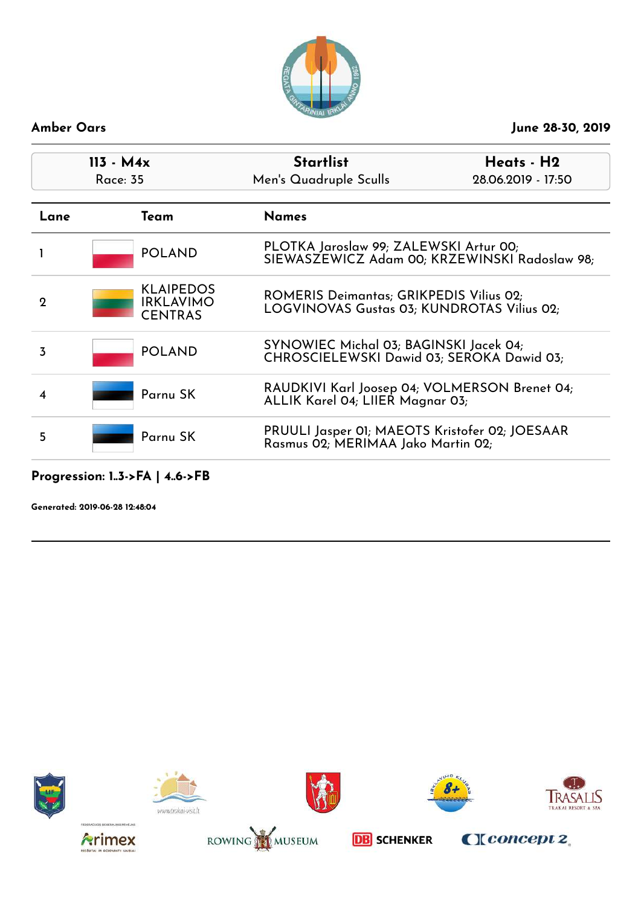

| $113 - M4x$<br>Race: 35 |                                                        | <b>Startlist</b><br>Men's Quadruple Sculls                                                   | Heats - H2<br>28.06.2019 - 17:50 |
|-------------------------|--------------------------------------------------------|----------------------------------------------------------------------------------------------|----------------------------------|
| Lane                    | Team                                                   | <b>Names</b>                                                                                 |                                  |
|                         | <b>POLAND</b>                                          | PLOTKA Jaroslaw 99; ZALEWSKI Artur 00;<br>SIEWASZEWICZ Adam 00; KRZEWINSKI Radoslaw 98;      |                                  |
| $\mathbf 2$             | <b>KLAIPEDOS</b><br><b>IRKLAVIMO</b><br><b>CENTRAS</b> | <b>ROMERIS Deimantas; GRIKPEDIS Vilius 02;</b><br>LOGVINOVAS Gustas 03; KUNDROTAS Vilius 02; |                                  |
| 3                       | <b>POLAND</b>                                          | SYNOWIEC Michal 03; BAGINSKI Jacek 04;<br>CHROSCIELEWSKI Dawid 03; SEROKA Dawid 03;          |                                  |
|                         | Parnu SK                                               | RAUDKIVI Karl Joosep 04; VOLMERSON Brenet 04;<br>ALLIK Karel 04; LIIER Magnar 03;            |                                  |
| 5                       | Parnu SK                                               | PRUULI Jasper 01; MAEOTS Kristofer 02; JOESAAR<br>Rasmus 02; MERIMAA Jako Martin 02;         |                                  |

### **Progression: 1..3->FA | 4..6->FB**

**Generated: 2019-06-28 12:48:04**















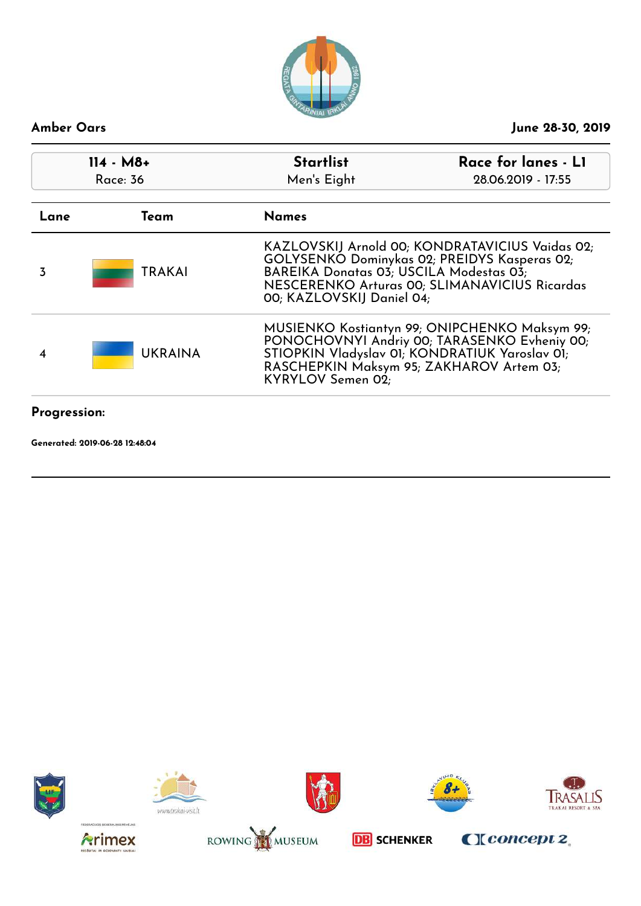

| $114 - M8 +$<br>Race: 36 |                | <b>Startlist</b><br>Men's Eight                                                                                                                                                                                          | Race for lanes - L1<br>28.06.2019 - 17:55 |  |
|--------------------------|----------------|--------------------------------------------------------------------------------------------------------------------------------------------------------------------------------------------------------------------------|-------------------------------------------|--|
| Team<br>Lane             |                | <b>Names</b>                                                                                                                                                                                                             |                                           |  |
| 3                        | <b>TRAKAI</b>  | KAZLOVSKIJ Arnold 00; KONDRATAVICIUS Vaidas 02;<br>GOLYSENKO Dominykas 02; PREIDYS Kasperas 02;<br>BAREIKA Donatas 03; USCILA Modestas 03;<br>NESCERENKO Arturas 00; SLIMANAVICIUS Ricardas<br>00; KAZLOVSKIJ Daniel 04; |                                           |  |
|                          | <b>UKRAINA</b> | MUSIENKO Kostiantyn 99; ONIPCHENKO Maksym 99;<br>PONOCHOVNYI Andriy 00; TARASENKO Evheniy 00;<br>STIOPKIN Vladyslav 01; KONDRATIUK Yaroslav 01;<br>RASCHEPKIN Maksym 95; ZAKHAROV Artem 03;<br>KYRYLOV Semen 02:         |                                           |  |
| Progression:             |                |                                                                                                                                                                                                                          |                                           |  |

**Generated: 2019-06-28 12:48:04**